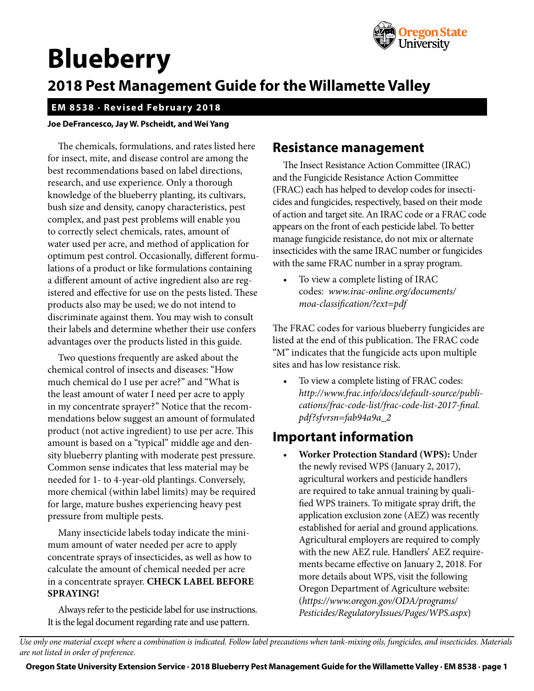

# **Blueberry**

## **2018 Pest Management Guide for the Willamette Valley**

#### **EM 8538 · Revised February 2018**

#### **Joe DeFrancesco, Jay W. Pscheidt, and Wei Yang**

The chemicals, formulations, and rates listed here for insect, mite, and disease control are among the best recommendations based on label directions, research, and use experience. Only a thorough knowledge of the blueberry planting, its cultivars, bush size and density, canopy characteristics, pest complex, and past pest problems will enable you to correctly select chemicals, rates, amount of water used per acre, and method of application for optimum pest control. Occasionally, different formulations of a product or like formulations containing a different amount of active ingredient also are registered and effective for use on the pests listed. These products also may be used; we do not intend to discriminate against them. You may wish to consult their labels and determine whether their use confers advantages over the products listed in this guide.

Two questions frequently are asked about the chemical control of insects and diseases: "How much chemical do I use per acre?" and "What is the least amount of water I need per acre to apply in my concentrate sprayer?" Notice that the recommendations below suggest an amount of formulated product (not active ingredient) to use per acre. This amount is based on a "typical" middle age and density blueberry planting with moderate pest pressure. Common sense indicates that less material may be needed for 1- to 4-year-old plantings. Conversely, more chemical (within label limits) may be required for large, mature bushes experiencing heavy pest pressure from multiple pests.

Many insecticide labels today indicate the minimum amount of water needed per acre to apply concentrate sprays of insecticides, as well as how to calculate the amount of chemical needed per acre in a concentrate sprayer. **CHECK LABEL BEFORE SPRAYING!**

Always refer to the pesticide label for use instructions. It is the legal document regarding rate and use pattern.

## **Resistance management**

The Insect Resistance Action Committee (IRAC) and the Fungicide Resistance Action Committee (FRAC) each has helped to develop codes for insecticides and fungicides, respectively, based on their mode of action and target site. An IRAC code or a FRAC code appears on the front of each pesticide label. To better manage fungicide resistance, do not mix or alternate insecticides with the same IRAC number or fungicides with the same FRAC number in a spray program.

To view a complete listing of IRAC codes: *[www.irac-online.org/documents/](www.irac-online.org/documents/moa) [moa-](www.irac-online.org/documents/moa)classification/?ext=pdf*

The FRAC codes for various blueberry fungicides are listed at the end of this publication. The FRAC code "M" indicates that the fungicide acts upon multiple sites and has low resistance risk.

To view a complete listing of FRAC codes: *[http://www.frac.info/docs/default-source/publi](http://www.frac.info/docs/default-source/publications/frac-code-list/frac-code-list-2017-final.pdf?sfvrsn=fab94a9a_2)[cations/frac-code-list/frac-code-list-2017-final.](http://www.frac.info/docs/default-source/publications/frac-code-list/frac-code-list-2017-final.pdf?sfvrsn=fab94a9a_2) [pdf?sfvrsn=fab94a9a\\_2](http://www.frac.info/docs/default-source/publications/frac-code-list/frac-code-list-2017-final.pdf?sfvrsn=fab94a9a_2)*

## **Important information**

• **Worker Protection Standard (WPS):** Under the newly revised WPS (January 2, 2017), agricultural workers and pesticide handlers are required to take annual training by qualified WPS trainers. To mitigate spray drift, the application exclusion zone (AEZ) was recently established for aerial and ground applications. Agricultural employers are required to comply with the new AEZ rule. Handlers' AEZ requirements became effective on January 2, 2018. For more details about WPS, visit the following Oregon Department of Agriculture website: (*[https://www.oregon.gov/ODA/programs/](https://www.oregon.gov/ODA/programs/Pesticides/RegulatoryIssues/Pages/WPS.aspx) [Pesticides/RegulatoryIssues/Pages/WPS.aspx](https://www.oregon.gov/ODA/programs/Pesticides/RegulatoryIssues/Pages/WPS.aspx)*)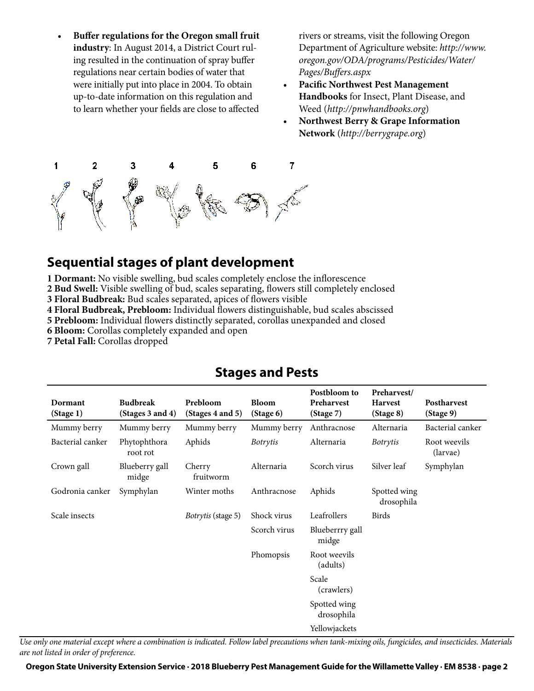• **Buffer regulations for the Oregon small fruit industry**: In August 2014, a District Court ruling resulted in the continuation of spray buffer regulations near certain bodies of water that were initially put into place in 2004. To obtain up-to-date information on this regulation and to learn whether your fields are close to affected

rivers or streams, visit the following Oregon Department of Agriculture website: *[http://www.](http://www.oregon.gov/ODA/programs/Pesticides/Water/Pages/Buffers.aspx) [oregon.gov/ODA/programs/Pesticides/Water/](http://www.oregon.gov/ODA/programs/Pesticides/Water/Pages/Buffers.aspx) [Pages/Buffers.aspx](http://www.oregon.gov/ODA/programs/Pesticides/Water/Pages/Buffers.aspx)*

- **Pacific Northwest Pest Management Handbooks** for Insect, Plant Disease, and Weed (*<http://pnwhandbooks.org>*)
- **Northwest Berry & Grape Information Network** (*<http://berrygrape.org>*)



## **Sequential stages of plant development**

**1 Dormant:** No visible swelling, bud scales completely enclose the inflorescence

**2 Bud Swell:** Visible swelling of bud, scales separating, flowers still completely enclosed

**3 Floral Budbreak:** Bud scales separated, apices of flowers visible

**4 Floral Budbreak, Prebloom:** Individual flowers distinguishable, bud scales abscissed

**5 Prebloom:** Individual flowers distinctly separated, corollas unexpanded and closed

**6 Bloom:** Corollas completely expanded and open

**7 Petal Fall:** Corollas dropped

#### **Dormant (Stage 1) Budbreak (Stages 3 and 4) Prebloom (Stages 4 and 5) Bloom (Stage 6) Postbloom to Preharvest (Stage 7) Preharvest/ Harvest (Stage 8) Postharvest (Stage 9)** Mummy berry Mummy berry Mummy berry Mummy berry Anthracnose Alternaria Bacterial canker Bacterial canker Phytophthora root rot Aphids *Botrytis* Alternaria *Botrytis* Root weevils (larvae) Crown gall Blueberry gall midge Cherry fruitworm Alternaria Scorch virus Silver leaf Symphylan Godronia canker Symphylan Winter moths Anthracnose Aphids Spotted wing drosophila Scale insects *Botrytis* (stage 5) Shock virus Leafrollers Birds Scorch virus Blueberrry gall midge Phomopsis Root weevils (adults) Scale (crawlers) Spotted wing drosophila Yellowjackets

## **Stages and Pests**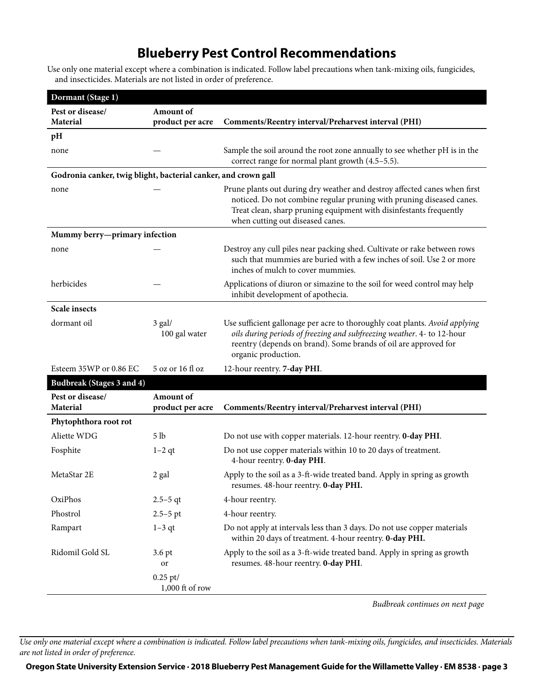## **Blueberry Pest Control Recommendations**

Use only one material except where a combination is indicated. Follow label precautions when tank-mixing oils, fungicides, and insecticides. Materials are not listed in order of preference.

| Dormant (Stage 1)                                              |                                        |                                                                                                                                                                                                                                                             |
|----------------------------------------------------------------|----------------------------------------|-------------------------------------------------------------------------------------------------------------------------------------------------------------------------------------------------------------------------------------------------------------|
| Pest or disease/                                               | Amount of                              |                                                                                                                                                                                                                                                             |
| Material                                                       | product per acre                       | Comments/Reentry interval/Preharvest interval (PHI)                                                                                                                                                                                                         |
| pH                                                             |                                        |                                                                                                                                                                                                                                                             |
| none                                                           |                                        | Sample the soil around the root zone annually to see whether pH is in the<br>correct range for normal plant growth (4.5-5.5).                                                                                                                               |
| Godronia canker, twig blight, bacterial canker, and crown gall |                                        |                                                                                                                                                                                                                                                             |
| none                                                           |                                        | Prune plants out during dry weather and destroy affected canes when first<br>noticed. Do not combine regular pruning with pruning diseased canes.<br>Treat clean, sharp pruning equipment with disinfestants frequently<br>when cutting out diseased canes. |
| Mummy berry-primary infection                                  |                                        |                                                                                                                                                                                                                                                             |
| none                                                           |                                        | Destroy any cull piles near packing shed. Cultivate or rake between rows<br>such that mummies are buried with a few inches of soil. Use 2 or more<br>inches of mulch to cover mummies.                                                                      |
| herbicides                                                     |                                        | Applications of diuron or simazine to the soil for weed control may help<br>inhibit development of apothecia.                                                                                                                                               |
| <b>Scale insects</b>                                           |                                        |                                                                                                                                                                                                                                                             |
| dormant oil                                                    | $3$ gal/<br>100 gal water              | Use sufficient gallonage per acre to thoroughly coat plants. Avoid applying<br>oils during periods of freezing and subfreezing weather. 4- to 12-hour<br>reentry (depends on brand). Some brands of oil are approved for<br>organic production.             |
| Esteem 35WP or 0.86 EC                                         | 5 oz or 16 fl oz                       | 12-hour reentry. 7-day PHI.                                                                                                                                                                                                                                 |
| Budbreak (Stages 3 and 4)                                      |                                        |                                                                                                                                                                                                                                                             |
| Pest or disease/                                               | Amount of                              |                                                                                                                                                                                                                                                             |
| Material                                                       | product per acre                       | Comments/Reentry interval/Preharvest interval (PHI)                                                                                                                                                                                                         |
| Phytophthora root rot                                          |                                        |                                                                                                                                                                                                                                                             |
| Aliette WDG                                                    | 5 lb                                   | Do not use with copper materials. 12-hour reentry. 0-day PHI.                                                                                                                                                                                               |
| Fosphite                                                       | $1-2$ qt                               | Do not use copper materials within 10 to 20 days of treatment.<br>4-hour reentry. 0-day PHI.                                                                                                                                                                |
| MetaStar 2E                                                    | 2 gal                                  | Apply to the soil as a 3-ft-wide treated band. Apply in spring as growth<br>resumes. 48-hour reentry. 0-day PHI.                                                                                                                                            |
| OxiPhos                                                        | $2.5 - 5$ qt                           | 4-hour reentry.                                                                                                                                                                                                                                             |
| Phostrol                                                       | $2.5 - 5$ pt                           | 4-hour reentry.                                                                                                                                                                                                                                             |
| Rampart                                                        | $1-3$ qt                               | Do not apply at intervals less than 3 days. Do not use copper materials<br>within 20 days of treatment. 4-hour reentry. 0-day PHI.                                                                                                                          |
| Ridomil Gold SL                                                | 3.6 pt<br>or                           | Apply to the soil as a 3-ft-wide treated band. Apply in spring as growth<br>resumes. 48-hour reentry. 0-day PHI.                                                                                                                                            |
|                                                                | $0.25 \text{ pt}$<br>$1,000$ ft of row |                                                                                                                                                                                                                                                             |

*Budbreak continues on next page*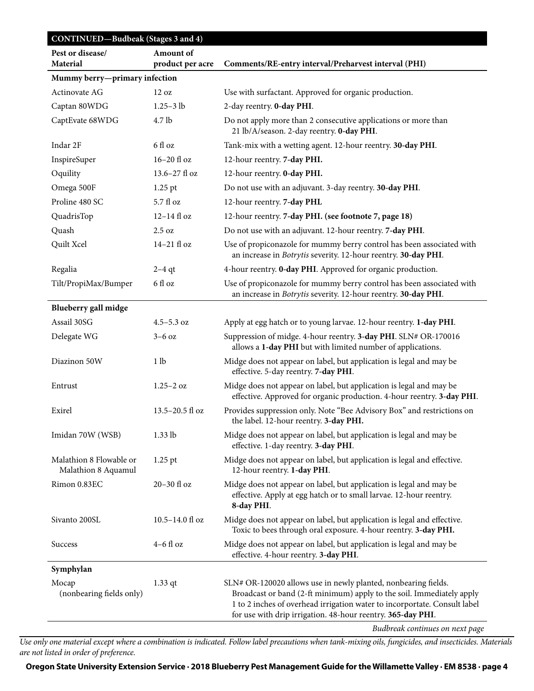|                                                | <b>CONTINUED-Budbeak</b> (Stages 3 and 4) |                                                                                                                                                                                                                                                                                     |  |
|------------------------------------------------|-------------------------------------------|-------------------------------------------------------------------------------------------------------------------------------------------------------------------------------------------------------------------------------------------------------------------------------------|--|
| Pest or disease/                               | Amount of                                 |                                                                                                                                                                                                                                                                                     |  |
| Material                                       | product per acre                          | Comments/RE-entry interval/Preharvest interval (PHI)                                                                                                                                                                                                                                |  |
| Mummy berry-primary infection                  |                                           |                                                                                                                                                                                                                                                                                     |  |
| Actinovate AG                                  | 12 oz                                     | Use with surfactant. Approved for organic production.                                                                                                                                                                                                                               |  |
| Captan 80WDG                                   | $1.25 - 3 lb$                             | 2-day reentry. 0-day PHI.                                                                                                                                                                                                                                                           |  |
| CaptEvate 68WDG                                | 4.7 lb                                    | Do not apply more than 2 consecutive applications or more than<br>21 lb/A/season. 2-day reentry. 0-day PHI.                                                                                                                                                                         |  |
| Indar 2F                                       | 6 fl oz                                   | Tank-mix with a wetting agent. 12-hour reentry. 30-day PHI.                                                                                                                                                                                                                         |  |
| InspireSuper                                   | 16-20 fl oz                               | 12-hour reentry. 7-day PHI.                                                                                                                                                                                                                                                         |  |
| Oquility                                       | 13.6-27 fl oz                             | 12-hour reentry. 0-day PHI.                                                                                                                                                                                                                                                         |  |
| Omega 500F                                     | $1.25$ pt                                 | Do not use with an adjuvant. 3-day reentry. 30-day PHI.                                                                                                                                                                                                                             |  |
| Proline 480 SC                                 | 5.7 fl oz                                 | 12-hour reentry. 7-day PHL                                                                                                                                                                                                                                                          |  |
| QuadrisTop                                     | $12-14$ fl oz                             | 12-hour reentry. 7-day PHI. (see footnote 7, page 18)                                                                                                                                                                                                                               |  |
| Quash                                          | 2.5 oz                                    | Do not use with an adjuvant. 12-hour reentry. 7-day PHI.                                                                                                                                                                                                                            |  |
| Quilt Xcel                                     | 14-21 fl oz                               | Use of propiconazole for mummy berry control has been associated with<br>an increase in Botrytis severity. 12-hour reentry. 30-day PHI.                                                                                                                                             |  |
| Regalia                                        | $2-4$ qt                                  | 4-hour reentry. O-day PHI. Approved for organic production.                                                                                                                                                                                                                         |  |
| Tilt/PropiMax/Bumper                           | 6 fl oz                                   | Use of propiconazole for mummy berry control has been associated with<br>an increase in Botrytis severity. 12-hour reentry. 30-day PHI.                                                                                                                                             |  |
| Blueberry gall midge                           |                                           |                                                                                                                                                                                                                                                                                     |  |
| Assail 30SG                                    | $4.5 - 5.3$ oz                            | Apply at egg hatch or to young larvae. 12-hour reentry. 1-day PHI.                                                                                                                                                                                                                  |  |
| Delegate WG                                    | $3-6$ oz                                  | Suppression of midge. 4-hour reentry. 3-day PHI. SLN# OR-170016<br>allows a 1-day PHI but with limited number of applications.                                                                                                                                                      |  |
| Diazinon 50W                                   | 1 <sub>lb</sub>                           | Midge does not appear on label, but application is legal and may be<br>effective. 5-day reentry. 7-day PHI.                                                                                                                                                                         |  |
| Entrust                                        | $1.25 - 2$ oz                             | Midge does not appear on label, but application is legal and may be<br>effective. Approved for organic production. 4-hour reentry. 3-day PHI.                                                                                                                                       |  |
| Exirel                                         | $13.5 - 20.5$ fl oz                       | Provides suppression only. Note "Bee Advisory Box" and restrictions on<br>the label. 12-hour reentry. 3-day PHI.                                                                                                                                                                    |  |
| Imidan 70W (WSB)                               | $1.33$ lb                                 | Midge does not appear on label, but application is legal and may be<br>effective. 1-day reentry. 3-day PHI.                                                                                                                                                                         |  |
| Malathion 8 Flowable or<br>Malathion 8 Aquamul | $1.25$ pt                                 | Midge does not appear on label, but application is legal and effective.<br>12-hour reentry. 1-day PHI.                                                                                                                                                                              |  |
| Rimon 0.83EC                                   | 20-30 fl oz                               | Midge does not appear on label, but application is legal and may be<br>effective. Apply at egg hatch or to small larvae. 12-hour reentry.<br>8-day PHI.                                                                                                                             |  |
| Sivanto 200SL                                  | 10.5-14.0 fl oz                           | Midge does not appear on label, but application is legal and effective.<br>Toxic to bees through oral exposure. 4-hour reentry. 3-day PHI.                                                                                                                                          |  |
| Success                                        | $4-6$ fl oz                               | Midge does not appear on label, but application is legal and may be<br>effective. 4-hour reentry. 3-day PHI.                                                                                                                                                                        |  |
| Symphylan                                      |                                           |                                                                                                                                                                                                                                                                                     |  |
| Mocap<br>(nonbearing fields only)              | $1.33$ qt                                 | SLN# OR-120020 allows use in newly planted, nonbearing fields.<br>Broadcast or band (2-ft minimum) apply to the soil. Immediately apply<br>1 to 2 inches of overhead irrigation water to incorportate. Consult label<br>for use with drip irrigation. 48-hour reentry. 365-day PHI. |  |

*Budbreak continues on next page*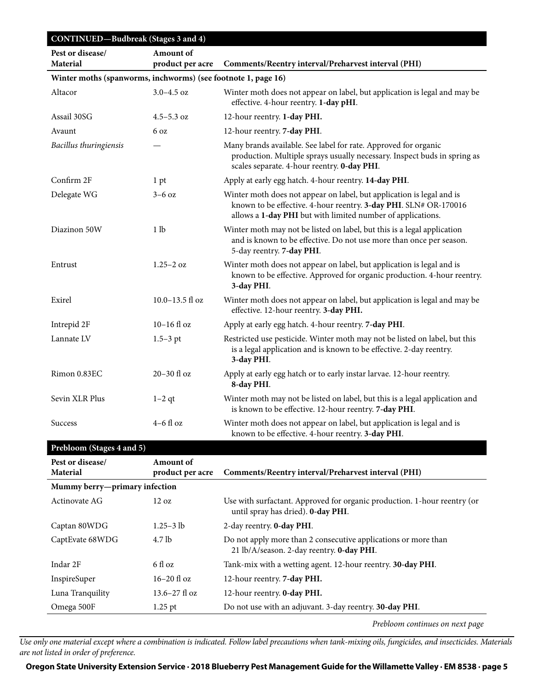| CONTINUED-Budbreak (Stages 3 and 4)                           |                               |                                                                                                                                                                                                          |  |
|---------------------------------------------------------------|-------------------------------|----------------------------------------------------------------------------------------------------------------------------------------------------------------------------------------------------------|--|
| Pest or disease/<br><b>Material</b>                           | Amount of<br>product per acre | Comments/Reentry interval/Preharvest interval (PHI)                                                                                                                                                      |  |
| Winter moths (spanworms, inchworms) (see footnote 1, page 16) |                               |                                                                                                                                                                                                          |  |
| Altacor                                                       | $3.0 - 4.5$ oz                | Winter moth does not appear on label, but application is legal and may be<br>effective. 4-hour reentry. 1-day pHI.                                                                                       |  |
| Assail 30SG                                                   | $4.5 - 5.3$ oz                | 12-hour reentry. 1-day PHI.                                                                                                                                                                              |  |
| Avaunt                                                        | 6 oz                          | 12-hour reentry. 7-day PHI.                                                                                                                                                                              |  |
| Bacillus thuringiensis                                        |                               | Many brands available. See label for rate. Approved for organic<br>production. Multiple sprays usually necessary. Inspect buds in spring as<br>scales separate. 4-hour reentry. 0-day PHI.               |  |
| Confirm 2F                                                    | 1 pt                          | Apply at early egg hatch. 4-hour reentry. 14-day PHI.                                                                                                                                                    |  |
| Delegate WG                                                   | $3-6$ oz                      | Winter moth does not appear on label, but application is legal and is<br>known to be effective. 4-hour reentry. 3-day PHI. SLN# OR-170016<br>allows a 1-day PHI but with limited number of applications. |  |
| Diazinon 50W                                                  | 1 <sub>lb</sub>               | Winter moth may not be listed on label, but this is a legal application<br>and is known to be effective. Do not use more than once per season.<br>5-day reentry. 7-day PHI.                              |  |
| Entrust                                                       | $1.25 - 2$ oz                 | Winter moth does not appear on label, but application is legal and is<br>known to be effective. Approved for organic production. 4-hour reentry.<br>3-day PHI.                                           |  |
| Exirel                                                        | 10.0-13.5 fl oz               | Winter moth does not appear on label, but application is legal and may be<br>effective. 12-hour reentry. 3-day PHI.                                                                                      |  |
| Intrepid 2F                                                   | $10-16$ fl oz                 | Apply at early egg hatch. 4-hour reentry. 7-day PHI.                                                                                                                                                     |  |
| Lannate LV                                                    | $1.5 - 3$ pt                  | Restricted use pesticide. Winter moth may not be listed on label, but this<br>is a legal application and is known to be effective. 2-day reentry.<br>3-day PHI.                                          |  |
| Rimon 0.83EC                                                  | 20-30 fl oz                   | Apply at early egg hatch or to early instar larvae. 12-hour reentry.<br>8-day PHI.                                                                                                                       |  |
| Sevin XLR Plus                                                | $1-2$ qt                      | Winter moth may not be listed on label, but this is a legal application and<br>is known to be effective. 12-hour reentry. 7-day PHI.                                                                     |  |
| Success                                                       | $4-6$ fl oz                   | Winter moth does not appear on label, but application is legal and is<br>known to be effective. 4-hour reentry. 3-day PHI.                                                                               |  |
| Prebloom (Stages 4 and 5)                                     |                               |                                                                                                                                                                                                          |  |

| Pest or disease/              | <b>Amount of</b>          |                                                                                                                |
|-------------------------------|---------------------------|----------------------------------------------------------------------------------------------------------------|
| <b>Material</b>               | product per acre          | Comments/Reentry interval/Preharvest interval (PHI)                                                            |
| Mummy berry-primary infection |                           |                                                                                                                |
| Actinovate AG                 | $12 \text{ oz}$           | Use with surfactant. Approved for organic production. 1-hour reentry (or<br>until spray has dried). 0-day PHI. |
| Captan 80WDG                  | $1.25 - 3$ lb             | 2-day reentry. <b>0-day PHI</b> .                                                                              |
| CaptEvate 68WDG               | 4.7 lb                    | Do not apply more than 2 consecutive applications or more than<br>21 lb/A/season. 2-day reentry. 0-day PHI.    |
| Indar 2F                      | 6 fl oz                   | Tank-mix with a wetting agent. 12-hour reentry. 30-day PHI.                                                    |
| InspireSuper                  | $16 - 20$ fl oz           | 12-hour reentry. 7-day PHI.                                                                                    |
| Luna Tranquility              | $13.6 - 27 \text{ fl oz}$ | 12-hour reentry. <b>0-day PHI.</b>                                                                             |
| Omega 500F                    | $1.25$ pt                 | Do not use with an adjuvant. 3-day reentry. 30-day PHI.                                                        |

*Prebloom continues on next page*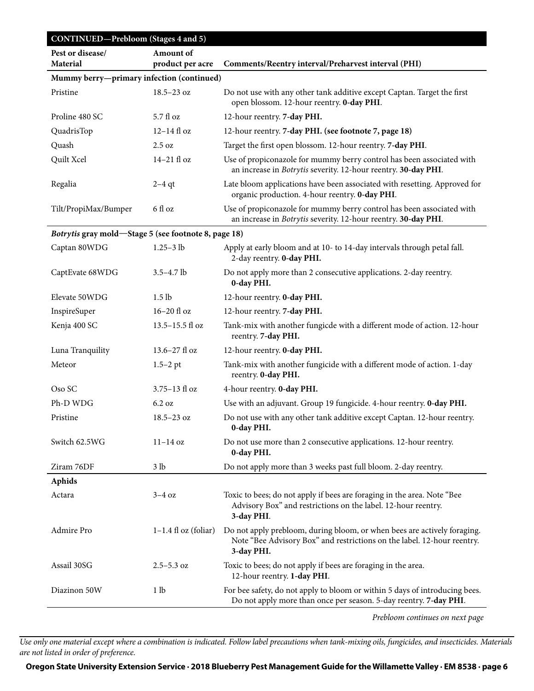| <b>CONTINUED-Prebloom (Stages 4 and 5)</b>           |                               |                                                                                                                                                                   |  |
|------------------------------------------------------|-------------------------------|-------------------------------------------------------------------------------------------------------------------------------------------------------------------|--|
| Pest or disease/<br>Material                         | Amount of<br>product per acre | Comments/Reentry interval/Preharvest interval (PHI)                                                                                                               |  |
| Mummy berry-primary infection (continued)            |                               |                                                                                                                                                                   |  |
| Pristine                                             | $18.5 - 23$ oz                | Do not use with any other tank additive except Captan. Target the first<br>open blossom. 12-hour reentry. 0-day PHI.                                              |  |
| Proline 480 SC                                       | 5.7 fl oz                     | 12-hour reentry. 7-day PHI.                                                                                                                                       |  |
| QuadrisTop                                           | 12-14 fl oz                   | 12-hour reentry. 7-day PHI. (see footnote 7, page 18)                                                                                                             |  |
| Quash                                                | 2.5 oz                        | Target the first open blossom. 12-hour reentry. 7-day PHI.                                                                                                        |  |
| Quilt Xcel                                           | 14-21 fl oz                   | Use of propiconazole for mummy berry control has been associated with<br>an increase in Botrytis severity. 12-hour reentry. 30-day PHI.                           |  |
| Regalia                                              | $2-4$ qt                      | Late bloom applications have been associated with resetting. Approved for<br>organic production. 4-hour reentry. 0-day PHI.                                       |  |
| Tilt/PropiMax/Bumper                                 | 6 fl oz                       | Use of propiconazole for mummy berry control has been associated with<br>an increase in Botrytis severity. 12-hour reentry. 30-day PHI.                           |  |
| Botrytis gray mold-Stage 5 (see footnote 8, page 18) |                               |                                                                                                                                                                   |  |
| Captan 80WDG                                         | $1.25 - 3$ lb                 | Apply at early bloom and at 10- to 14-day intervals through petal fall.<br>2-day reentry. 0-day PHI.                                                              |  |
| CaptEvate 68WDG                                      | $3.5 - 4.7$ lb                | Do not apply more than 2 consecutive applications. 2-day reentry.<br>0-day PHI.                                                                                   |  |
| Elevate 50WDG                                        | 1.5 <sub>lb</sub>             | 12-hour reentry. 0-day PHI.                                                                                                                                       |  |
| InspireSuper                                         | $16-20$ fl oz                 | 12-hour reentry. 7-day PHI.                                                                                                                                       |  |
| Kenja 400 SC                                         | 13.5-15.5 fl oz               | Tank-mix with another fungicde with a different mode of action. 12-hour<br>reentry. 7-day PHI.                                                                    |  |
| Luna Tranquility                                     | 13.6-27 fl oz                 | 12-hour reentry. 0-day PHI.                                                                                                                                       |  |
| Meteor                                               | $1.5 - 2$ pt                  | Tank-mix with another fungicide with a different mode of action. 1-day<br>reentry. 0-day PHI.                                                                     |  |
| Oso SC                                               | 3.75-13 fl oz                 | 4-hour reentry. 0-day PHI.                                                                                                                                        |  |
| Ph-D WDG                                             | 6.2 oz                        | Use with an adjuvant. Group 19 fungicide. 4-hour reentry. 0-day PHI.                                                                                              |  |
| Pristine                                             | $18.5 - 23$ oz                | Do not use with any other tank additive except Captan. 12-hour reentry.<br>0-day PHI.                                                                             |  |
| Switch 62.5WG                                        | $11-14$ oz                    | Do not use more than 2 consecutive applications. 12-hour reentry.<br>0-day PHI.                                                                                   |  |
| Ziram 76DF                                           | 3 <sub>lb</sub>               | Do not apply more than 3 weeks past full bloom. 2-day reentry.                                                                                                    |  |
| Aphids                                               |                               |                                                                                                                                                                   |  |
| Actara                                               | $3-4$ oz                      | Toxic to bees; do not apply if bees are foraging in the area. Note "Bee<br>Advisory Box" and restrictions on the label. 12-hour reentry.<br>3-day PHI.            |  |
| Admire Pro                                           | $1-1.4$ fl oz (foliar)        | Do not apply prebloom, during bloom, or when bees are actively foraging.<br>Note "Bee Advisory Box" and restrictions on the label. 12-hour reentry.<br>3-day PHI. |  |
| Assail 30SG                                          | $2.5 - 5.3$ oz                | Toxic to bees; do not apply if bees are foraging in the area.<br>12-hour reentry. 1-day PHI.                                                                      |  |
| Diazinon 50W                                         | 1 lb                          | For bee safety, do not apply to bloom or within 5 days of introducing bees.<br>Do not apply more than once per season. 5-day reentry. 7-day PHI.                  |  |
|                                                      |                               |                                                                                                                                                                   |  |

*Prebloom continues on next page*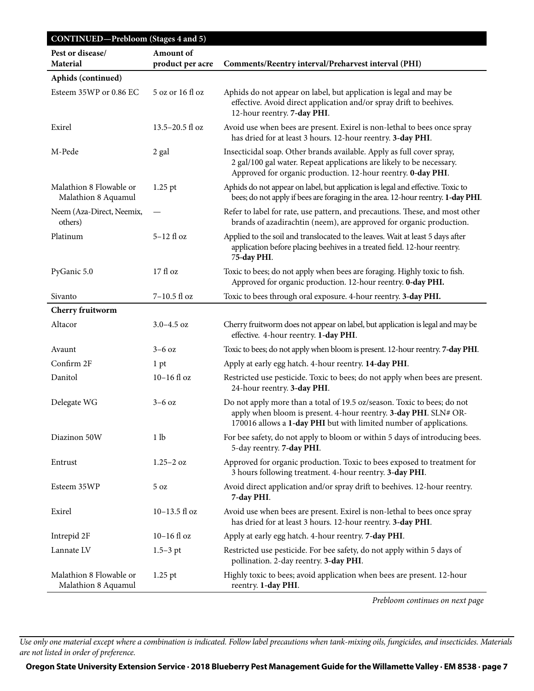| <b>CONTINUED-Prebloom (Stages 4 and 5)</b>     |                               |                                                                                                                                                                                                                   |
|------------------------------------------------|-------------------------------|-------------------------------------------------------------------------------------------------------------------------------------------------------------------------------------------------------------------|
| Pest or disease/<br><b>Material</b>            | Amount of<br>product per acre | Comments/Reentry interval/Preharvest interval (PHI)                                                                                                                                                               |
| Aphids (continued)                             |                               |                                                                                                                                                                                                                   |
| Esteem 35WP or 0.86 EC                         | 5 oz or 16 fl oz              | Aphids do not appear on label, but application is legal and may be<br>effective. Avoid direct application and/or spray drift to beehives.<br>12-hour reentry. 7-day PHI.                                          |
| Exirel                                         | $13.5 - 20.5$ fl oz           | Avoid use when bees are present. Exirel is non-lethal to bees once spray<br>has dried for at least 3 hours. 12-hour reentry. 3-day PHI.                                                                           |
| M-Pede                                         | 2 gal                         | Insecticidal soap. Other brands available. Apply as full cover spray,<br>2 gal/100 gal water. Repeat applications are likely to be necessary.<br>Approved for organic production. 12-hour reentry. 0-day PHI.     |
| Malathion 8 Flowable or<br>Malathion 8 Aquamul | $1.25$ pt                     | Aphids do not appear on label, but application is legal and effective. Toxic to<br>bees; do not apply if bees are foraging in the area. 12-hour reentry. 1-day PHI.                                               |
| Neem (Aza-Direct, Neemix,<br>others)           |                               | Refer to label for rate, use pattern, and precautions. These, and most other<br>brands of azadirachtin (neem), are approved for organic production.                                                               |
| Platinum                                       | 5-12 fl oz                    | Applied to the soil and translocated to the leaves. Wait at least 5 days after<br>application before placing beehives in a treated field. 12-hour reentry.<br>75-day PHI.                                         |
| PyGanic 5.0                                    | 17 fl oz                      | Toxic to bees; do not apply when bees are foraging. Highly toxic to fish.<br>Approved for organic production. 12-hour reentry. 0-day PHI.                                                                         |
| Sivanto                                        | $7-10.5$ fl oz                | Toxic to bees through oral exposure. 4-hour reentry. 3-day PHI.                                                                                                                                                   |
| Cherry fruitworm                               |                               |                                                                                                                                                                                                                   |
| Altacor                                        | $3.0 - 4.5$ oz                | Cherry fruitworm does not appear on label, but application is legal and may be<br>effective. 4-hour reentry. 1-day PHI.                                                                                           |
| Avaunt                                         | $3-6$ oz                      | Toxic to bees; do not apply when bloom is present. 12-hour reentry. 7-day PHI.                                                                                                                                    |
| Confirm 2F                                     | 1 pt                          | Apply at early egg hatch. 4-hour reentry. 14-day PHI.                                                                                                                                                             |
| Danitol                                        | $10-16$ fl oz                 | Restricted use pesticide. Toxic to bees; do not apply when bees are present.<br>24-hour reentry. 3-day PHI.                                                                                                       |
| Delegate WG                                    | $3-6$ oz                      | Do not apply more than a total of 19.5 oz/season. Toxic to bees; do not<br>apply when bloom is present. 4-hour reentry. 3-day PHI. SLN# OR-<br>170016 allows a 1-day PHI but with limited number of applications. |
| Diazinon 50W                                   | 1 lb                          | For bee safety, do not apply to bloom or within 5 days of introducing bees.<br>5-day reentry. 7-day PHI.                                                                                                          |
| Entrust                                        | $1.25 - 2$ oz                 | Approved for organic production. Toxic to bees exposed to treatment for<br>3 hours following treatment. 4-hour reentry. 3-day PHI.                                                                                |
| Esteem 35WP                                    | 5 oz                          | Avoid direct application and/or spray drift to beehives. 12-hour reentry.<br>7-day PHI.                                                                                                                           |
| Exirel                                         | 10-13.5 fl oz                 | Avoid use when bees are present. Exirel is non-lethal to bees once spray<br>has dried for at least 3 hours. 12-hour reentry. 3-day PHI.                                                                           |
| Intrepid 2F                                    | $10-16$ fl oz                 | Apply at early egg hatch. 4-hour reentry. 7-day PHI.                                                                                                                                                              |
| Lannate LV                                     | $1.5 - 3$ pt                  | Restricted use pesticide. For bee safety, do not apply within 5 days of<br>pollination. 2-day reentry. 3-day PHI.                                                                                                 |
| Malathion 8 Flowable or<br>Malathion 8 Aquamul | $1.25$ pt                     | Highly toxic to bees; avoid application when bees are present. 12-hour<br>reentry. 1-day PHI.                                                                                                                     |

*Prebloom continues on next page*

*Use only one material except where a combination is indicated. Follow label precautions when tank-mixing oils, fungicides, and insecticides. Materials are not listed in order of preference.*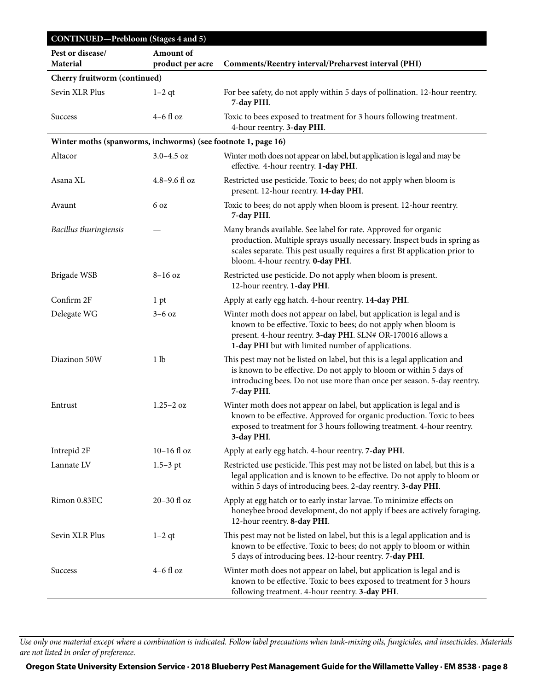| CONTINUED-Prebloom (Stages 4 and 5)                           |                               |                                                                                                                                                                                                                                                                 |  |
|---------------------------------------------------------------|-------------------------------|-----------------------------------------------------------------------------------------------------------------------------------------------------------------------------------------------------------------------------------------------------------------|--|
| Pest or disease/<br>Material                                  | Amount of<br>product per acre | Comments/Reentry interval/Preharvest interval (PHI)                                                                                                                                                                                                             |  |
| Cherry fruitworm (continued)                                  |                               |                                                                                                                                                                                                                                                                 |  |
| Sevin XLR Plus                                                | $1-2$ qt                      | For bee safety, do not apply within 5 days of pollination. 12-hour reentry.<br>7-day PHI.                                                                                                                                                                       |  |
| <b>Success</b>                                                | $4-6$ fl oz                   | Toxic to bees exposed to treatment for 3 hours following treatment.<br>4-hour reentry. 3-day PHI.                                                                                                                                                               |  |
| Winter moths (spanworms, inchworms) (see footnote 1, page 16) |                               |                                                                                                                                                                                                                                                                 |  |
| Altacor                                                       | $3.0 - 4.5$ oz                | Winter moth does not appear on label, but application is legal and may be<br>effective. 4-hour reentry. 1-day PHI.                                                                                                                                              |  |
| Asana XL                                                      | $4.8 - 9.6$ fl oz             | Restricted use pesticide. Toxic to bees; do not apply when bloom is<br>present. 12-hour reentry. 14-day PHI.                                                                                                                                                    |  |
| Avaunt                                                        | 6 oz                          | Toxic to bees; do not apply when bloom is present. 12-hour reentry.<br>7-day PHI.                                                                                                                                                                               |  |
| Bacillus thuringiensis                                        |                               | Many brands available. See label for rate. Approved for organic<br>production. Multiple sprays usually necessary. Inspect buds in spring as<br>scales separate. This pest usually requires a first Bt application prior to<br>bloom. 4-hour reentry. 0-day PHI. |  |
| Brigade WSB                                                   | $8-16$ oz                     | Restricted use pesticide. Do not apply when bloom is present.<br>12-hour reentry. 1-day PHI.                                                                                                                                                                    |  |
| Confirm 2F                                                    | 1 pt                          | Apply at early egg hatch. 4-hour reentry. 14-day PHI.                                                                                                                                                                                                           |  |
| Delegate WG                                                   | $3-6$ oz                      | Winter moth does not appear on label, but application is legal and is<br>known to be effective. Toxic to bees; do not apply when bloom is<br>present. 4-hour reentry. 3-day PHI. SLN# OR-170016 allows a<br>1-day PHI but with limited number of applications.  |  |
| Diazinon 50W                                                  | 1 lb                          | This pest may not be listed on label, but this is a legal application and<br>is known to be effective. Do not apply to bloom or within 5 days of<br>introducing bees. Do not use more than once per season. 5-day reentry.<br>7-day PHI.                        |  |
| Entrust                                                       | $1.25 - 2$ oz                 | Winter moth does not appear on label, but application is legal and is<br>known to be effective. Approved for organic production. Toxic to bees<br>exposed to treatment for 3 hours following treatment. 4-hour reentry.<br>3-day PHI.                           |  |
| Intrepid 2F                                                   | $10-16$ fl oz                 | Apply at early egg hatch. 4-hour reentry. 7-day PHI.                                                                                                                                                                                                            |  |
| Lannate LV                                                    | $1.5 - 3$ pt                  | Restricted use pesticide. This pest may not be listed on label, but this is a<br>legal application and is known to be effective. Do not apply to bloom or<br>within 5 days of introducing bees. 2-day reentry. 3-day PHI.                                       |  |
| Rimon 0.83EC                                                  | 20-30 fl oz                   | Apply at egg hatch or to early instar larvae. To minimize effects on<br>honeybee brood development, do not apply if bees are actively foraging.<br>12-hour reentry. 8-day PHI.                                                                                  |  |
| Sevin XLR Plus                                                | $1-2$ qt                      | This pest may not be listed on label, but this is a legal application and is<br>known to be effective. Toxic to bees; do not apply to bloom or within<br>5 days of introducing bees. 12-hour reentry. 7-day PHI.                                                |  |
| <b>Success</b>                                                | $4-6$ fl oz                   | Winter moth does not appear on label, but application is legal and is<br>known to be effective. Toxic to bees exposed to treatment for 3 hours<br>following treatment. 4-hour reentry. 3-day PHI.                                                               |  |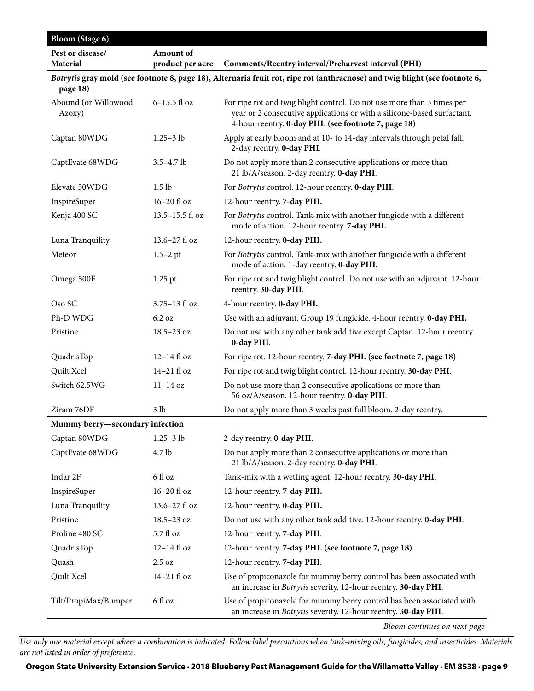| <b>Bloom</b> (Stage 6)<br>Pest or disease/ | Amount of         |                                                                                                                                                                                                           |
|--------------------------------------------|-------------------|-----------------------------------------------------------------------------------------------------------------------------------------------------------------------------------------------------------|
| <b>Material</b>                            | product per acre  | Comments/Reentry interval/Preharvest interval (PHI)                                                                                                                                                       |
| page 18)                                   |                   | Botrytis gray mold (see footnote 8, page 18), Alternaria fruit rot, ripe rot (anthracnose) and twig blight (see footnote 6,                                                                               |
| Abound (or Willowood<br>Azoxy)             | $6-15.5$ fl oz    | For ripe rot and twig blight control. Do not use more than 3 times per<br>year or 2 consecutive applications or with a silicone-based surfactant.<br>4-hour reentry. 0-day PHI. (see footnote 7, page 18) |
| Captan 80WDG                               | $1.25 - 3 lb$     | Apply at early bloom and at 10- to 14-day intervals through petal fall.<br>2-day reentry. 0-day PHI.                                                                                                      |
| CaptEvate 68WDG                            | $3.5 - 4.7$ lb    | Do not apply more than 2 consecutive applications or more than<br>21 lb/A/season. 2-day reentry. 0-day PHI.                                                                                               |
| Elevate 50WDG                              | 1.5 <sub>lb</sub> | For Botrytis control. 12-hour reentry. 0-day PHI.                                                                                                                                                         |
| InspireSuper                               | 16-20 fl oz       | 12-hour reentry. 7-day PHI.                                                                                                                                                                               |
| Kenja 400 SC                               | 13.5-15.5 fl oz   | For Botrytis control. Tank-mix with another fungicde with a different<br>mode of action. 12-hour reentry. 7-day PHI.                                                                                      |
| Luna Tranquility                           | 13.6-27 fl oz     | 12-hour reentry. 0-day PHI.                                                                                                                                                                               |
| Meteor                                     | $1.5 - 2$ pt      | For Botrytis control. Tank-mix with another fungicide with a different<br>mode of action. 1-day reentry. 0-day PHI.                                                                                       |
| Omega 500F                                 | $1.25$ pt         | For ripe rot and twig blight control. Do not use with an adjuvant. 12-hour<br>reentry. 30-day PHI.                                                                                                        |
| Oso SC                                     | 3.75-13 fl oz     | 4-hour reentry. 0-day PHI.                                                                                                                                                                                |
| Ph-D WDG                                   | 6.2 oz            | Use with an adjuvant. Group 19 fungicide. 4-hour reentry. 0-day PHI.                                                                                                                                      |
| Pristine                                   | $18.5 - 23$ oz    | Do not use with any other tank additive except Captan. 12-hour reentry.<br>0-day PHI.                                                                                                                     |
| QuadrisTop                                 | $12-14$ fl oz     | For ripe rot. 12-hour reentry. 7-day PHI. (see footnote 7, page 18)                                                                                                                                       |
| Quilt Xcel                                 | 14-21 fl oz       | For ripe rot and twig blight control. 12-hour reentry. 30-day PHI.                                                                                                                                        |
| Switch 62.5WG                              | $11-14$ oz        | Do not use more than 2 consecutive applications or more than<br>56 oz/A/season. 12-hour reentry. 0-day PHI.                                                                                               |
| Ziram 76DF                                 | 3 <sub>lb</sub>   | Do not apply more than 3 weeks past full bloom. 2-day reentry.                                                                                                                                            |
| Mummy berry-secondary infection            |                   |                                                                                                                                                                                                           |
| Captan 80WDG                               | $1.25 - 3 lb$     | 2-day reentry. 0-day PHI.                                                                                                                                                                                 |
| CaptEvate 68WDG                            | 4.7 lb            | Do not apply more than 2 consecutive applications or more than<br>21 lb/A/season. 2-day reentry. 0-day PHI.                                                                                               |
| Indar 2F                                   | 6 fl oz           | Tank-mix with a wetting agent. 12-hour reentry. 30-day PHI.                                                                                                                                               |
| InspireSuper                               | $16-20$ fl oz     | 12-hour reentry. 7-day PHI.                                                                                                                                                                               |
| Luna Tranquility                           | 13.6-27 fl oz     | 12-hour reentry. 0-day PHI.                                                                                                                                                                               |
| Pristine                                   | $18.5 - 23$ oz    | Do not use with any other tank additive. 12-hour reentry. 0-day PHI.                                                                                                                                      |
| Proline 480 SC                             | 5.7 fl oz         | 12-hour reentry. 7-day PHI.                                                                                                                                                                               |
| QuadrisTop                                 | $12-14$ fl oz     | 12-hour reentry. 7-day PHI. (see footnote 7, page 18)                                                                                                                                                     |
| Quash                                      | 2.5 oz            | 12-hour reentry. 7-day PHI.                                                                                                                                                                               |
| Quilt Xcel                                 | 14-21 fl oz       | Use of propiconazole for mummy berry control has been associated with<br>an increase in Botrytis severity. 12-hour reentry. 30-day PHI.                                                                   |
| Tilt/PropiMax/Bumper                       | 6 fl oz           | Use of propiconazole for mummy berry control has been associated with<br>an increase in Botrytis severity. 12-hour reentry. 30-day PHI.                                                                   |

*Bloom continues on next page*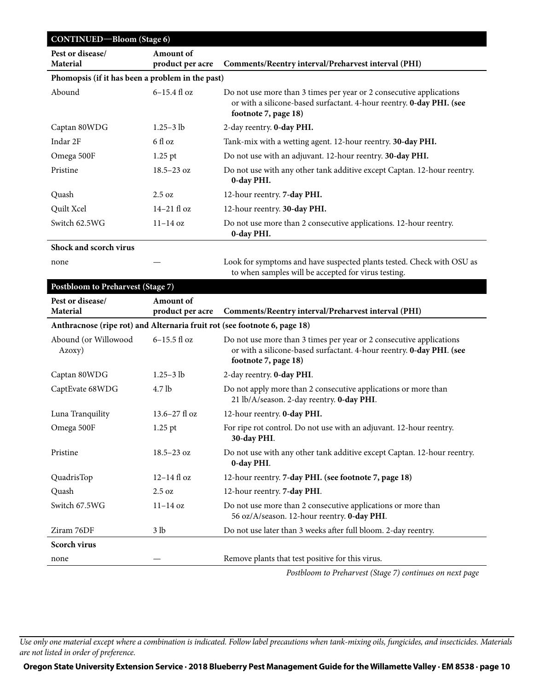| <b>CONTINUED-Bloom (Stage 6)</b>                 |                               |                                                                                                                                                                     |  |
|--------------------------------------------------|-------------------------------|---------------------------------------------------------------------------------------------------------------------------------------------------------------------|--|
| Pest or disease/<br><b>Material</b>              | Amount of<br>product per acre | Comments/Reentry interval/Preharvest interval (PHI)                                                                                                                 |  |
| Phomopsis (if it has been a problem in the past) |                               |                                                                                                                                                                     |  |
| Abound                                           | $6-15.4$ fl oz                | Do not use more than 3 times per year or 2 consecutive applications<br>or with a silicone-based surfactant. 4-hour reentry. 0-day PHI. (see<br>footnote 7, page 18) |  |
| Captan 80WDG                                     | $1.25 - 3$ lb                 | 2-day reentry. <b>0-day PHI.</b>                                                                                                                                    |  |
| Indar 2F                                         | 6 fl oz                       | Tank-mix with a wetting agent. 12-hour reentry. 30-day PHI.                                                                                                         |  |
| Omega 500F                                       | $1.25$ pt                     | Do not use with an adjuvant. 12-hour reentry. 30-day PHI.                                                                                                           |  |
| Pristine                                         | $18.5 - 23$ oz                | Do not use with any other tank additive except Captan. 12-hour reentry.<br>0-day PHI.                                                                               |  |
| Quash                                            | $2.5 \text{ oz}$              | 12-hour reentry. 7-day PHI.                                                                                                                                         |  |
| Quilt Xcel                                       | $14-21$ fl oz                 | 12-hour reentry. 30-day PHI.                                                                                                                                        |  |
| Switch 62.5WG                                    | $11 - 14$ oz                  | Do not use more than 2 consecutive applications. 12-hour reentry.<br>0-day PHI.                                                                                     |  |
| Shock and scorch virus                           |                               |                                                                                                                                                                     |  |

none — Look for symptoms and have suspected plants tested. Check with OSU as to when samples will be accepted for virus testing.

#### **Postbloom to Preharvest (Stage 7)**

| TOSUTOUTH TO T TURN VEST (Stage 7)                                        |                   |                                                                                                                                                                     |
|---------------------------------------------------------------------------|-------------------|---------------------------------------------------------------------------------------------------------------------------------------------------------------------|
| Pest or disease/                                                          | <b>Amount</b> of  |                                                                                                                                                                     |
| Material                                                                  | product per acre  | Comments/Reentry interval/Preharvest interval (PHI)                                                                                                                 |
| Anthracnose (ripe rot) and Alternaria fruit rot (see footnote 6, page 18) |                   |                                                                                                                                                                     |
| Abound (or Willowood<br>Azoxy)                                            | 6-15.5 fl oz      | Do not use more than 3 times per year or 2 consecutive applications<br>or with a silicone-based surfactant. 4-hour reentry. 0-day PHI. (see<br>footnote 7, page 18) |
| Captan 80WDG                                                              | $1.25 - 3$ lb     | 2-day reentry. 0-day PHI.                                                                                                                                           |
| CaptEvate 68WDG                                                           | 4.7 <sub>lb</sub> | Do not apply more than 2 consecutive applications or more than<br>21 lb/A/season. 2-day reentry. 0-day PHI.                                                         |
| Luna Tranquility                                                          | $13.6 - 27$ fl oz | 12-hour reentry. 0-day PHI.                                                                                                                                         |
| Omega 500F                                                                | $1.25$ pt         | For ripe rot control. Do not use with an adjuvant. 12-hour reentry.<br>30-day PHI.                                                                                  |
| Pristine                                                                  | $18.5 - 23$ oz    | Do not use with any other tank additive except Captan. 12-hour reentry.<br>0-day PHI.                                                                               |
| QuadrisTop                                                                | $12-14$ fl oz     | 12-hour reentry. 7-day PHI. (see footnote 7, page 18)                                                                                                               |
| Quash                                                                     | 2.5 oz            | 12-hour reentry. 7-day PHI.                                                                                                                                         |
| Switch 67.5WG                                                             | $11-14$ oz        | Do not use more than 2 consecutive applications or more than<br>56 oz/A/season. 12-hour reentry. 0-day PHI.                                                         |
| Ziram 76DF                                                                | 3 lb              | Do not use later than 3 weeks after full bloom. 2-day reentry.                                                                                                      |
| <b>Scorch virus</b>                                                       |                   |                                                                                                                                                                     |
| none                                                                      |                   | Remove plants that test positive for this virus.                                                                                                                    |
|                                                                           |                   | Postbloom to Preharvest (Stage 7) continues on next page                                                                                                            |

*Postbloom to Preharvest (Stage 7) continues on next page*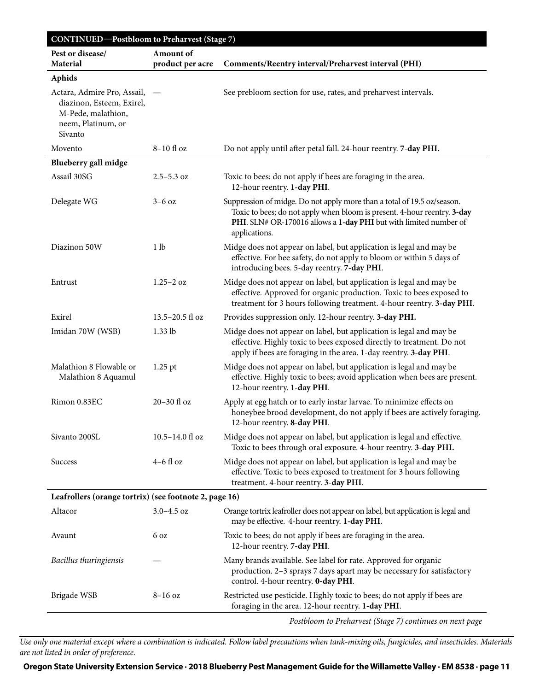| <b>CONTINUED-Postbloom to Preharvest (Stage 7)</b>                                                              |                               |                                                                                                                                                                                                                                           |
|-----------------------------------------------------------------------------------------------------------------|-------------------------------|-------------------------------------------------------------------------------------------------------------------------------------------------------------------------------------------------------------------------------------------|
| Pest or disease/<br><b>Material</b>                                                                             | Amount of<br>product per acre | Comments/Reentry interval/Preharvest interval (PHI)                                                                                                                                                                                       |
| <b>Aphids</b>                                                                                                   |                               |                                                                                                                                                                                                                                           |
| Actara, Admire Pro, Assail,<br>diazinon, Esteem, Exirel,<br>M-Pede, malathion,<br>neem, Platinum, or<br>Sivanto | $\overline{\phantom{m}}$      | See prebloom section for use, rates, and preharvest intervals.                                                                                                                                                                            |
| Movento                                                                                                         | 8-10 fl oz                    | Do not apply until after petal fall. 24-hour reentry. 7-day PHI.                                                                                                                                                                          |
| Blueberry gall midge                                                                                            |                               |                                                                                                                                                                                                                                           |
| Assail 30SG                                                                                                     | $2.5 - 5.3$ oz                | Toxic to bees; do not apply if bees are foraging in the area.<br>12-hour reentry. 1-day PHI.                                                                                                                                              |
| Delegate WG                                                                                                     | $3-6$ oz                      | Suppression of midge. Do not apply more than a total of 19.5 oz/season.<br>Toxic to bees; do not apply when bloom is present. 4-hour reentry. 3-day<br>PHI. SLN# OR-170016 allows a 1-day PHI but with limited number of<br>applications. |
| Diazinon 50W                                                                                                    | 1 <sub>lb</sub>               | Midge does not appear on label, but application is legal and may be<br>effective. For bee safety, do not apply to bloom or within 5 days of<br>introducing bees. 5-day reentry. 7-day PHI.                                                |
| Entrust                                                                                                         | $1.25 - 2 \text{ oz}$         | Midge does not appear on label, but application is legal and may be<br>effective. Approved for organic production. Toxic to bees exposed to<br>treatment for 3 hours following treatment. 4-hour reentry. 3-day PHI.                      |
| Exirel                                                                                                          | $13.5 - 20.5$ fl oz           | Provides suppression only. 12-hour reentry. 3-day PHI.                                                                                                                                                                                    |
| Imidan 70W (WSB)                                                                                                | $1.33$ lb                     | Midge does not appear on label, but application is legal and may be<br>effective. Highly toxic to bees exposed directly to treatment. Do not<br>apply if bees are foraging in the area. 1-day reentry. 3-day PHI.                         |
| Malathion 8 Flowable or<br>Malathion 8 Aquamul                                                                  | $1.25$ pt                     | Midge does not appear on label, but application is legal and may be<br>effective. Highly toxic to bees; avoid application when bees are present.<br>12-hour reentry. 1-day PHI.                                                           |
| Rimon 0.83EC                                                                                                    | 20-30 fl oz                   | Apply at egg hatch or to early instar larvae. To minimize effects on<br>honeybee brood development, do not apply if bees are actively foraging.<br>12-hour reentry. 8-day PHI.                                                            |
| Sivanto 200SL                                                                                                   | $10.5 - 14.0$ fl oz           | Midge does not appear on label, but application is legal and effective.<br>Toxic to bees through oral exposure. 4-hour reentry. 3-day PHI.                                                                                                |
| <b>Success</b>                                                                                                  | $4-6$ fl oz                   | Midge does not appear on label, but application is legal and may be<br>effective. Toxic to bees exposed to treatment for 3 hours following<br>treatment. 4-hour reentry. 3-day PHI.                                                       |
| Leafrollers (orange tortrix) (see footnote 2, page 16)                                                          |                               |                                                                                                                                                                                                                                           |
| Altacor                                                                                                         | $3.0 - 4.5$ oz                | Orange tortrix leafroller does not appear on label, but application is legal and<br>may be effective. 4-hour reentry. 1-day PHI.                                                                                                          |
| Avaunt                                                                                                          | 6 oz                          | Toxic to bees; do not apply if bees are foraging in the area.<br>12-hour reentry. 7-day PHI.                                                                                                                                              |
| Bacillus thuringiensis                                                                                          |                               | Many brands available. See label for rate. Approved for organic<br>production. 2-3 sprays 7 days apart may be necessary for satisfactory<br>control. 4-hour reentry. 0-day PHI.                                                           |
| Brigade WSB                                                                                                     | $8-16$ oz                     | Restricted use pesticide. Highly toxic to bees; do not apply if bees are<br>foraging in the area. 12-hour reentry. 1-day PHI.                                                                                                             |
|                                                                                                                 |                               | Postbloom to Preharvest (Stage 7) continues on next page                                                                                                                                                                                  |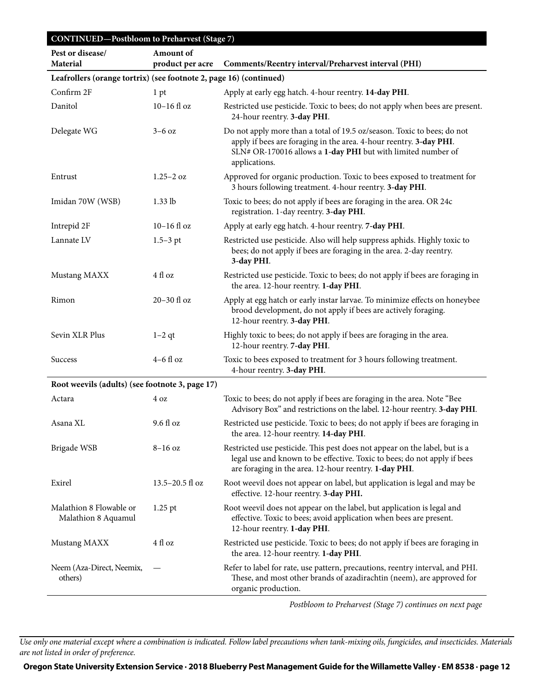| <b>CONTINUED-Postbloom to Preharvest (Stage 7)</b>                 |                       |                                                                                                                                                                                                                                |  |
|--------------------------------------------------------------------|-----------------------|--------------------------------------------------------------------------------------------------------------------------------------------------------------------------------------------------------------------------------|--|
| Pest or disease/                                                   | <b>Amount</b> of      |                                                                                                                                                                                                                                |  |
| <b>Material</b>                                                    | product per acre      | Comments/Reentry interval/Preharvest interval (PHI)                                                                                                                                                                            |  |
| Leafrollers (orange tortrix) (see footnote 2, page 16) (continued) |                       |                                                                                                                                                                                                                                |  |
| Confirm 2F                                                         | 1 pt                  | Apply at early egg hatch. 4-hour reentry. 14-day PHI.                                                                                                                                                                          |  |
| Danitol                                                            | $10-16$ fl oz         | Restricted use pesticide. Toxic to bees; do not apply when bees are present.<br>24-hour reentry. 3-day PHI.                                                                                                                    |  |
| Delegate WG                                                        | $3-6$ oz              | Do not apply more than a total of 19.5 oz/season. Toxic to bees; do not<br>apply if bees are foraging in the area. 4-hour reentry. 3-day PHI.<br>SLN# OR-170016 allows a 1-day PHI but with limited number of<br>applications. |  |
| Entrust                                                            | $1.25 - 2 \text{ oz}$ | Approved for organic production. Toxic to bees exposed to treatment for<br>3 hours following treatment. 4-hour reentry. 3-day PHI.                                                                                             |  |
| Imidan 70W (WSB)                                                   | $1.33$ lb             | Toxic to bees; do not apply if bees are foraging in the area. OR 24c<br>registration. 1-day reentry. 3-day PHI.                                                                                                                |  |
| Intrepid 2F                                                        | $10-16$ fl oz         | Apply at early egg hatch. 4-hour reentry. 7-day PHI.                                                                                                                                                                           |  |
| Lannate LV                                                         | $1.5 - 3$ pt          | Restricted use pesticide. Also will help suppress aphids. Highly toxic to<br>bees; do not apply if bees are foraging in the area. 2-day reentry.<br>3-day PHI.                                                                 |  |
| Mustang MAXX                                                       | $4\ \mathrm{fl}$ oz   | Restricted use pesticide. Toxic to bees; do not apply if bees are foraging in<br>the area. 12-hour reentry. 1-day PHI.                                                                                                         |  |
| Rimon                                                              | 20-30 fl oz           | Apply at egg hatch or early instar larvae. To minimize effects on honeybee<br>brood development, do not apply if bees are actively foraging.<br>12-hour reentry. 3-day PHI.                                                    |  |
| Sevin XLR Plus                                                     | $1-2$ qt              | Highly toxic to bees; do not apply if bees are foraging in the area.<br>12-hour reentry. 7-day PHI.                                                                                                                            |  |
| <b>Success</b>                                                     | $4-6$ fl oz           | Toxic to bees exposed to treatment for 3 hours following treatment.<br>4-hour reentry. 3-day PHI.                                                                                                                              |  |
| Root weevils (adults) (see footnote 3, page 17)                    |                       |                                                                                                                                                                                                                                |  |
| Actara                                                             | 4 oz                  | Toxic to bees; do not apply if bees are foraging in the area. Note "Bee<br>Advisory Box" and restrictions on the label. 12-hour reentry. 3-day PHI.                                                                            |  |
| Asana XL                                                           | 9.6 fl oz             | Restricted use pesticide. Toxic to bees; do not apply if bees are foraging in<br>the area. 12-hour reentry. 14-day PHI.                                                                                                        |  |
| Brigade WSB                                                        | $8-16$ oz             | Restricted use pesticide. This pest does not appear on the label, but is a<br>legal use and known to be effective. Toxic to bees; do not apply if bees<br>are foraging in the area. 12-hour reentry. 1-day PHI.                |  |
| Exirel                                                             | $13.5 - 20.5$ fl oz   | Root weevil does not appear on label, but application is legal and may be<br>effective. 12-hour reentry. 3-day PHI.                                                                                                            |  |
| Malathion 8 Flowable or<br>Malathion 8 Aquamul                     | $1.25$ pt             | Root weevil does not appear on the label, but application is legal and<br>effective. Toxic to bees; avoid application when bees are present.<br>12-hour reentry. 1-day PHI.                                                    |  |
| Mustang MAXX                                                       | 4 fl oz               | Restricted use pesticide. Toxic to bees; do not apply if bees are foraging in<br>the area. 12-hour reentry. 1-day PHI.                                                                                                         |  |
| Neem (Aza-Direct, Neemix,<br>others)                               |                       | Refer to label for rate, use pattern, precautions, reentry interval, and PHI.<br>These, and most other brands of azadirachtin (neem), are approved for<br>organic production.                                                  |  |

*Postbloom to Preharvest (Stage 7) continues on next page*

*Use only one material except where a combination is indicated. Follow label precautions when tank-mixing oils, fungicides, and insecticides. Materials are not listed in order of preference.*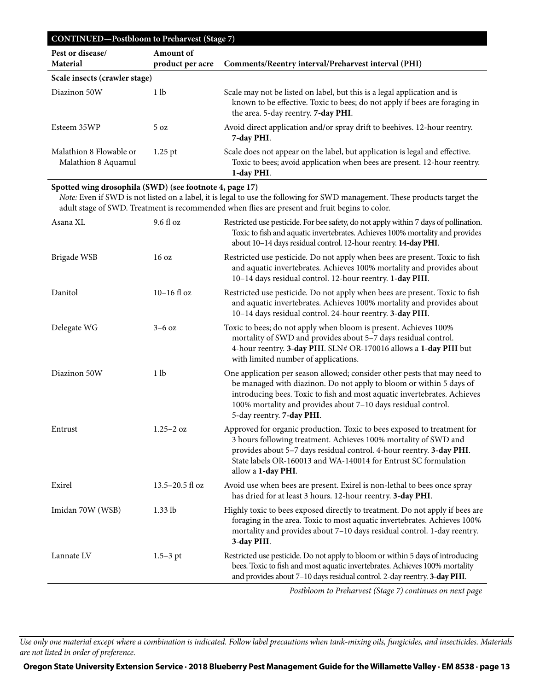| <b>CONTINUED-Postbloom to Preharvest (Stage 7)</b> |                               |                                                                                                                                                                                               |  |  |  |  |
|----------------------------------------------------|-------------------------------|-----------------------------------------------------------------------------------------------------------------------------------------------------------------------------------------------|--|--|--|--|
| Pest or disease/<br><b>Material</b>                | Amount of<br>product per acre | Comments/Reentry interval/Preharvest interval (PHI)                                                                                                                                           |  |  |  |  |
| Scale insects (crawler stage)                      |                               |                                                                                                                                                                                               |  |  |  |  |
| Diazinon 50W                                       | 1 lb                          | Scale may not be listed on label, but this is a legal application and is<br>known to be effective. Toxic to bees; do not apply if bees are foraging in<br>the area. 5-day reentry. 7-day PHI. |  |  |  |  |
| Esteem 35WP                                        | $5 \Omega$                    | Avoid direct application and/or spray drift to beehives. 12-hour reentry.<br>7-day PHI.                                                                                                       |  |  |  |  |
| Malathion 8 Flowable or<br>Malathion 8 Aquamul     | $1.25$ pt                     | Scale does not appear on the label, but application is legal and effective.<br>Toxic to bees; avoid application when bees are present. 12-hour reentry.<br>1-day PHI.                         |  |  |  |  |

#### **Spotted wing drosophila (SWD) (see footnote 4, page 17)**

*Note:* Even if SWD is not listed on a label, it is legal to use the following for SWD management. These products target the adult stage of SWD. Treatment is recommended when flies are present and fruit begins to color.

| Asana XL         | 9.6 fl oz                   | Restricted use pesticide. For bee safety, do not apply within 7 days of pollination.<br>Toxic to fish and aquatic invertebrates. Achieves 100% mortality and provides<br>about 10-14 days residual control. 12-hour reentry. 14-day PHI.                                                                                   |
|------------------|-----------------------------|----------------------------------------------------------------------------------------------------------------------------------------------------------------------------------------------------------------------------------------------------------------------------------------------------------------------------|
| Brigade WSB      | 16 <sub>oz</sub>            | Restricted use pesticide. Do not apply when bees are present. Toxic to fish<br>and aquatic invertebrates. Achieves 100% mortality and provides about<br>10-14 days residual control. 12-hour reentry. 1-day PHI.                                                                                                           |
| Danitol          | $10-16$ fl oz               | Restricted use pesticide. Do not apply when bees are present. Toxic to fish<br>and aquatic invertebrates. Achieves 100% mortality and provides about<br>10-14 days residual control. 24-hour reentry. 3-day PHI.                                                                                                           |
| Delegate WG      | $3-6$ oz                    | Toxic to bees; do not apply when bloom is present. Achieves 100%<br>mortality of SWD and provides about 5-7 days residual control.<br>4-hour reentry. 3-day PHI. SLN# OR-170016 allows a 1-day PHI but<br>with limited number of applications.                                                                             |
| Diazinon 50W     | 1 <sub>lb</sub>             | One application per season allowed; consider other pests that may need to<br>be managed with diazinon. Do not apply to bloom or within 5 days of<br>introducing bees. Toxic to fish and most aquatic invertebrates. Achieves<br>100% mortality and provides about 7-10 days residual control.<br>5-day reentry. 7-day PHI. |
| Entrust          | $1.25 - 2$ oz               | Approved for organic production. Toxic to bees exposed to treatment for<br>3 hours following treatment. Achieves 100% mortality of SWD and<br>provides about 5-7 days residual control. 4-hour reentry. 3-day PHI.<br>State labels OR-160013 and WA-140014 for Entrust SC formulation<br>allow a 1-day PHI.                |
| Exirel           | $13.5 - 20.5 \text{ fl oz}$ | Avoid use when bees are present. Exirel is non-lethal to bees once spray<br>has dried for at least 3 hours. 12-hour reentry. 3-day PHI.                                                                                                                                                                                    |
| Imidan 70W (WSB) | $1.33$ lb                   | Highly toxic to bees exposed directly to treatment. Do not apply if bees are<br>foraging in the area. Toxic to most aquatic invertebrates. Achieves 100%<br>mortality and provides about 7-10 days residual control. 1-day reentry.<br>3-day PHI.                                                                          |
| Lannate LV       | $1.5 - 3$ pt                | Restricted use pesticide. Do not apply to bloom or within 5 days of introducing<br>bees. Toxic to fish and most aquatic invertebrates. Achieves 100% mortality<br>and provides about 7-10 days residual control. 2-day reentry. 3-day PHI.                                                                                 |
|                  |                             | Posthloom to Preharvest (Stage 7) continues on next page                                                                                                                                                                                                                                                                   |

*Postbloom to Preharvest (Stage 7) continues on next page*

*Use only one material except where a combination is indicated. Follow label precautions when tank-mixing oils, fungicides, and insecticides. Materials are not listed in order of preference.*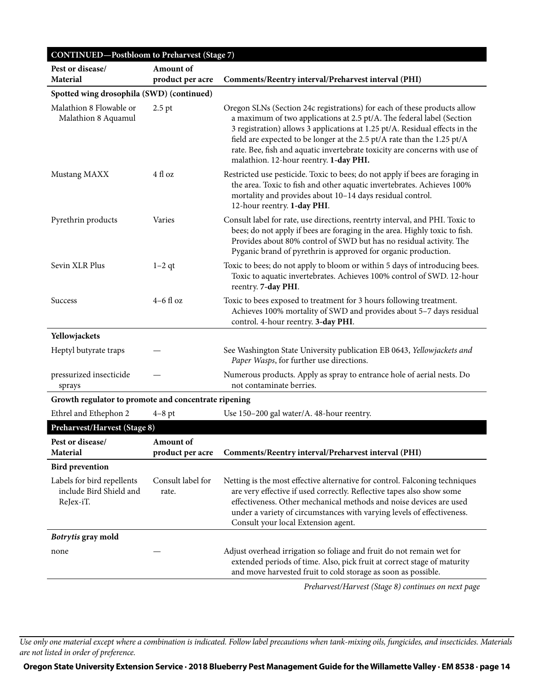| <b>CONTINUED-Postbloom to Preharvest (Stage 7)</b>                 |                               |                                                                                                                                                                                                                                                                                                                                                                                                                                     |
|--------------------------------------------------------------------|-------------------------------|-------------------------------------------------------------------------------------------------------------------------------------------------------------------------------------------------------------------------------------------------------------------------------------------------------------------------------------------------------------------------------------------------------------------------------------|
| Pest or disease/<br>Material                                       | Amount of<br>product per acre | Comments/Reentry interval/Preharvest interval (PHI)                                                                                                                                                                                                                                                                                                                                                                                 |
| Spotted wing drosophila (SWD) (continued)                          |                               |                                                                                                                                                                                                                                                                                                                                                                                                                                     |
| Malathion 8 Flowable or<br>$2.5$ pt<br>Malathion 8 Aquamul         |                               | Oregon SLNs (Section 24c registrations) for each of these products allow<br>a maximum of two applications at 2.5 pt/A. The federal label (Section<br>3 registration) allows 3 applications at 1.25 pt/A. Residual effects in the<br>field are expected to be longer at the 2.5 pt/A rate than the 1.25 pt/A<br>rate. Bee, fish and aquatic invertebrate toxicity are concerns with use of<br>malathion. 12-hour reentry. 1-day PHI. |
| Mustang MAXX                                                       | 4 fl oz                       | Restricted use pesticide. Toxic to bees; do not apply if bees are foraging in<br>the area. Toxic to fish and other aquatic invertebrates. Achieves 100%<br>mortality and provides about 10-14 days residual control.<br>12-hour reentry. 1-day PHI.                                                                                                                                                                                 |
| Pyrethrin products                                                 | Varies                        | Consult label for rate, use directions, reentrty interval, and PHI. Toxic to<br>bees; do not apply if bees are foraging in the area. Highly toxic to fish.<br>Provides about 80% control of SWD but has no residual activity. The<br>Pyganic brand of pyrethrin is approved for organic production.                                                                                                                                 |
| Sevin XLR Plus                                                     | $1-2$ qt                      | Toxic to bees; do not apply to bloom or within 5 days of introducing bees.<br>Toxic to aquatic invertebrates. Achieves 100% control of SWD. 12-hour<br>reentry. 7-day PHI.                                                                                                                                                                                                                                                          |
| <b>Success</b>                                                     | $4-6$ fl oz                   | Toxic to bees exposed to treatment for 3 hours following treatment.<br>Achieves 100% mortality of SWD and provides about 5-7 days residual<br>control. 4-hour reentry. 3-day PHI.                                                                                                                                                                                                                                                   |
| Yellowjackets                                                      |                               |                                                                                                                                                                                                                                                                                                                                                                                                                                     |
| Heptyl butyrate traps                                              |                               | See Washington State University publication EB 0643, Yellowjackets and<br>Paper Wasps, for further use directions.                                                                                                                                                                                                                                                                                                                  |
| pressurized insecticide<br>sprays                                  |                               | Numerous products. Apply as spray to entrance hole of aerial nests. Do<br>not contaminate berries.                                                                                                                                                                                                                                                                                                                                  |
| Growth regulator to promote and concentrate ripening               |                               |                                                                                                                                                                                                                                                                                                                                                                                                                                     |
| Ethrel and Ethephon 2                                              | $4-8$ pt                      | Use 150-200 gal water/A. 48-hour reentry.                                                                                                                                                                                                                                                                                                                                                                                           |
| Preharvest/Harvest (Stage 8)                                       |                               |                                                                                                                                                                                                                                                                                                                                                                                                                                     |
| Pest or disease/<br><b>Material</b>                                | Amount of<br>product per acre | Comments/Reentry interval/Preharvest interval (PHI)                                                                                                                                                                                                                                                                                                                                                                                 |
| <b>Bird prevention</b>                                             |                               |                                                                                                                                                                                                                                                                                                                                                                                                                                     |
| Labels for bird repellents<br>include Bird Shield and<br>ReJex-iT. | Consult label for<br>rate.    | Netting is the most effective alternative for control. Falconing techniques<br>are very effective if used correctly. Reflective tapes also show some<br>effectiveness. Other mechanical methods and noise devices are used<br>under a variety of circumstances with varying levels of effectiveness.<br>Consult your local Extension agent.                                                                                         |
| Botrytis gray mold                                                 |                               |                                                                                                                                                                                                                                                                                                                                                                                                                                     |
| none                                                               |                               | Adjust overhead irrigation so foliage and fruit do not remain wet for<br>extended periods of time. Also, pick fruit at correct stage of maturity<br>and move harvested fruit to cold storage as soon as possible.                                                                                                                                                                                                                   |
|                                                                    |                               | Preharvest/Harvest (Stage 8) continues on next page                                                                                                                                                                                                                                                                                                                                                                                 |

*Use only one material except where a combination is indicated. Follow label precautions when tank-mixing oils, fungicides, and insecticides. Materials are not listed in order of preference.*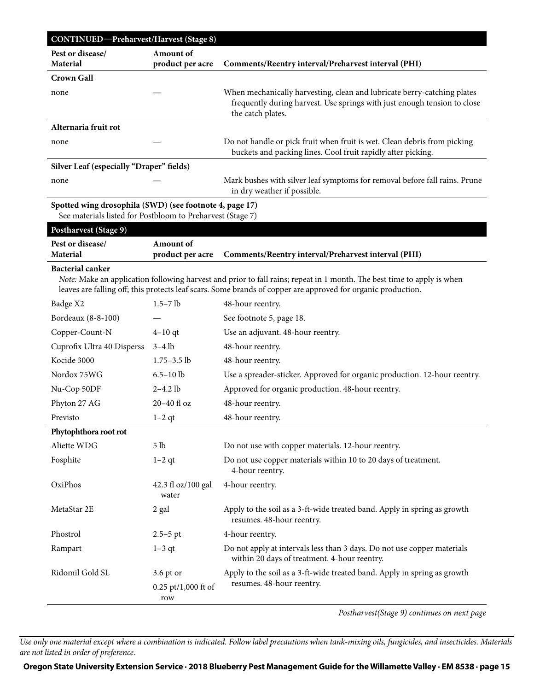| CONTINUED-Preharvest/Harvest (Stage 8)                     |                                           |                                                                                                                                                                                                                                        |  |  |  |  |
|------------------------------------------------------------|-------------------------------------------|----------------------------------------------------------------------------------------------------------------------------------------------------------------------------------------------------------------------------------------|--|--|--|--|
| Pest or disease/<br><b>Material</b>                        | Amount of                                 |                                                                                                                                                                                                                                        |  |  |  |  |
| <b>Crown Gall</b>                                          | product per acre                          | Comments/Reentry interval/Preharvest interval (PHI)                                                                                                                                                                                    |  |  |  |  |
| none                                                       |                                           | When mechanically harvesting, clean and lubricate berry-catching plates                                                                                                                                                                |  |  |  |  |
|                                                            |                                           | frequently during harvest. Use springs with just enough tension to close<br>the catch plates.                                                                                                                                          |  |  |  |  |
| Alternaria fruit rot                                       |                                           |                                                                                                                                                                                                                                        |  |  |  |  |
| none                                                       |                                           | Do not handle or pick fruit when fruit is wet. Clean debris from picking<br>buckets and packing lines. Cool fruit rapidly after picking.                                                                                               |  |  |  |  |
| Silver Leaf (especially "Draper" fields)                   |                                           |                                                                                                                                                                                                                                        |  |  |  |  |
| none                                                       |                                           | Mark bushes with silver leaf symptoms for removal before fall rains. Prune<br>in dry weather if possible.                                                                                                                              |  |  |  |  |
| Spotted wing drosophila (SWD) (see footnote 4, page 17)    |                                           |                                                                                                                                                                                                                                        |  |  |  |  |
| See materials listed for Postbloom to Preharvest (Stage 7) |                                           |                                                                                                                                                                                                                                        |  |  |  |  |
| Postharvest (Stage 9)                                      |                                           |                                                                                                                                                                                                                                        |  |  |  |  |
| Pest or disease/                                           | Amount of                                 |                                                                                                                                                                                                                                        |  |  |  |  |
| <b>Material</b>                                            | product per acre                          | Comments/Reentry interval/Preharvest interval (PHI)                                                                                                                                                                                    |  |  |  |  |
| <b>Bacterial canker</b>                                    |                                           | Note: Make an application following harvest and prior to fall rains; repeat in 1 month. The best time to apply is when<br>leaves are falling off; this protects leaf scars. Some brands of copper are approved for organic production. |  |  |  |  |
| Badge X2                                                   | $1.5 - 7$ lb                              | 48-hour reentry.                                                                                                                                                                                                                       |  |  |  |  |
| Bordeaux (8-8-100)                                         |                                           | See footnote 5, page 18.                                                                                                                                                                                                               |  |  |  |  |
| Copper-Count-N                                             | $4-10$ qt                                 | Use an adjuvant. 48-hour reentry.                                                                                                                                                                                                      |  |  |  |  |
| Cuprofix Ultra 40 Disperss                                 | $3-4$ lb                                  | 48-hour reentry.                                                                                                                                                                                                                       |  |  |  |  |
| Kocide 3000                                                | $1.75 - 3.5$ lb                           | 48-hour reentry.                                                                                                                                                                                                                       |  |  |  |  |
| Nordox 75WG                                                | $6.5 - 10$ lb                             | Use a spreader-sticker. Approved for organic production. 12-hour reentry.                                                                                                                                                              |  |  |  |  |
| Nu-Cop 50DF                                                | $2 - 4.2$ lb                              | Approved for organic production. 48-hour reentry.                                                                                                                                                                                      |  |  |  |  |
| Phyton 27 AG                                               | $20-40$ fl oz                             | 48-hour reentry.                                                                                                                                                                                                                       |  |  |  |  |
| Previsto                                                   | $1-2$ qt                                  | 48-hour reentry.                                                                                                                                                                                                                       |  |  |  |  |
| Phytophthora root rot                                      |                                           |                                                                                                                                                                                                                                        |  |  |  |  |
| Aliette WDG                                                | 5 <sub>1b</sub>                           | Do not use with copper materials. 12-hour reentry.                                                                                                                                                                                     |  |  |  |  |
| Fosphite                                                   | $1-2$ qt                                  | Do not use copper materials within 10 to 20 days of treatment.<br>4-hour reentry.                                                                                                                                                      |  |  |  |  |
| OxiPhos                                                    | 42.3 fl oz/100 gal<br>water               | 4-hour reentry.                                                                                                                                                                                                                        |  |  |  |  |
| MetaStar 2E                                                | 2 gal                                     | Apply to the soil as a 3-ft-wide treated band. Apply in spring as growth<br>resumes. 48-hour reentry.                                                                                                                                  |  |  |  |  |
| Phostrol                                                   | $2.5 - 5$ pt                              | 4-hour reentry.                                                                                                                                                                                                                        |  |  |  |  |
| Rampart                                                    | $1-3$ qt                                  | Do not apply at intervals less than 3 days. Do not use copper materials<br>within 20 days of treatment. 4-hour reentry.                                                                                                                |  |  |  |  |
| Ridomil Gold SL                                            | 3.6 pt or<br>$0.25$ pt/1,000 ft of<br>row | Apply to the soil as a 3-ft-wide treated band. Apply in spring as growth<br>resumes. 48-hour reentry.                                                                                                                                  |  |  |  |  |

*Postharvest(Stage 9) continues on next page*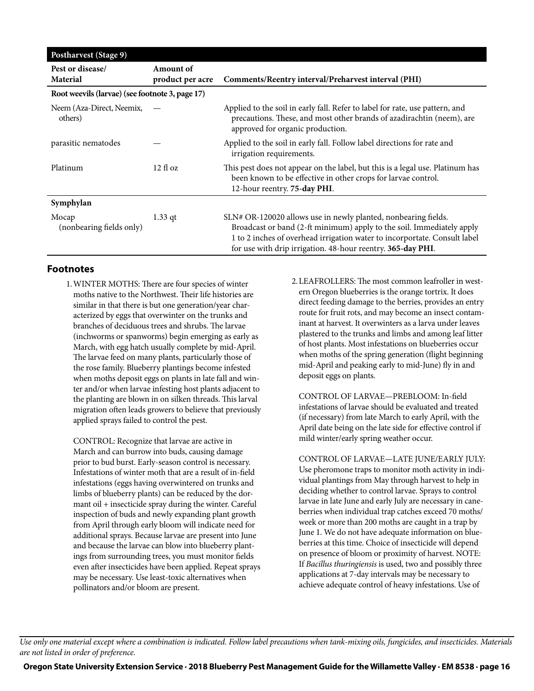| <b>Postharvest (Stage 9)</b>                    |                                      |                                                                                                                                                                                                                                                                                     |
|-------------------------------------------------|--------------------------------------|-------------------------------------------------------------------------------------------------------------------------------------------------------------------------------------------------------------------------------------------------------------------------------------|
| Pest or disease/<br><b>Material</b>             | <b>Amount of</b><br>product per acre | Comments/Reentry interval/Preharvest interval (PHI)                                                                                                                                                                                                                                 |
| Root weevils (larvae) (see footnote 3, page 17) |                                      |                                                                                                                                                                                                                                                                                     |
| Neem (Aza-Direct, Neemix,<br>others)            |                                      | Applied to the soil in early fall. Refer to label for rate, use pattern, and<br>precautions. These, and most other brands of azadirachtin (neem), are<br>approved for organic production.                                                                                           |
| parasitic nematodes                             |                                      | Applied to the soil in early fall. Follow label directions for rate and<br>irrigation requirements.                                                                                                                                                                                 |
| Platinum                                        | $12 \text{ fl oz}$                   | This pest does not appear on the label, but this is a legal use. Platinum has<br>been known to be effective in other crops for larvae control.<br>12-hour reentry. 75-day PHI.                                                                                                      |
| Symphylan                                       |                                      |                                                                                                                                                                                                                                                                                     |
| Mocap<br>(nonbearing fields only)               | $1.33$ qt                            | SLN# OR-120020 allows use in newly planted, nonbearing fields.<br>Broadcast or band (2-ft minimum) apply to the soil. Immediately apply<br>1 to 2 inches of overhead irrigation water to incorportate. Consult label<br>for use with drip irrigation. 48-hour reentry. 365-day PHI. |

#### **Footnotes**

1.WINTER MOTHS: There are four species of winter moths native to the Northwest. Their life histories are similar in that there is but one generation/year characterized by eggs that overwinter on the trunks and branches of deciduous trees and shrubs. The larvae (inchworms or spanworms) begin emerging as early as March, with egg hatch usually complete by mid-April. The larvae feed on many plants, particularly those of the rose family. Blueberry plantings become infested when moths deposit eggs on plants in late fall and winter and/or when larvae infesting host plants adjacent to the planting are blown in on silken threads. This larval migration often leads growers to believe that previously applied sprays failed to control the pest.

CONTROL: Recognize that larvae are active in March and can burrow into buds, causing damage prior to bud burst. Early-season control is necessary. Infestations of winter moth that are a result of in-field infestations (eggs having overwintered on trunks and limbs of blueberry plants) can be reduced by the dormant oil + insecticide spray during the winter. Careful inspection of buds and newly expanding plant growth from April through early bloom will indicate need for additional sprays. Because larvae are present into June and because the larvae can blow into blueberry plantings from surrounding trees, you must monitor fields even after insecticides have been applied. Repeat sprays may be necessary. Use least-toxic alternatives when pollinators and/or bloom are present.

2.LEAFROLLERS: The most common leafroller in western Oregon blueberries is the orange tortrix. It does direct feeding damage to the berries, provides an entry route for fruit rots, and may become an insect contaminant at harvest. It overwinters as a larva under leaves plastered to the trunks and limbs and among leaf litter of host plants. Most infestations on blueberries occur when moths of the spring generation (flight beginning mid-April and peaking early to mid-June) fly in and deposit eggs on plants.

CONTROL OF LARVAE—PREBLOOM: In-field infestations of larvae should be evaluated and treated (if necessary) from late March to early April, with the April date being on the late side for effective control if mild winter/early spring weather occur.

CONTROL OF LARVAE—LATE JUNE/EARLY JULY: Use pheromone traps to monitor moth activity in individual plantings from May through harvest to help in deciding whether to control larvae. Sprays to control larvae in late June and early July are necessary in caneberries when individual trap catches exceed 70 moths/ week or more than 200 moths are caught in a trap by June 1. We do not have adequate information on blueberries at this time. Choice of insecticide will depend on presence of bloom or proximity of harvest. NOTE: If *Bacillus thuringiensis* is used, two and possibly three applications at 7-day intervals may be necessary to achieve adequate control of heavy infestations. Use of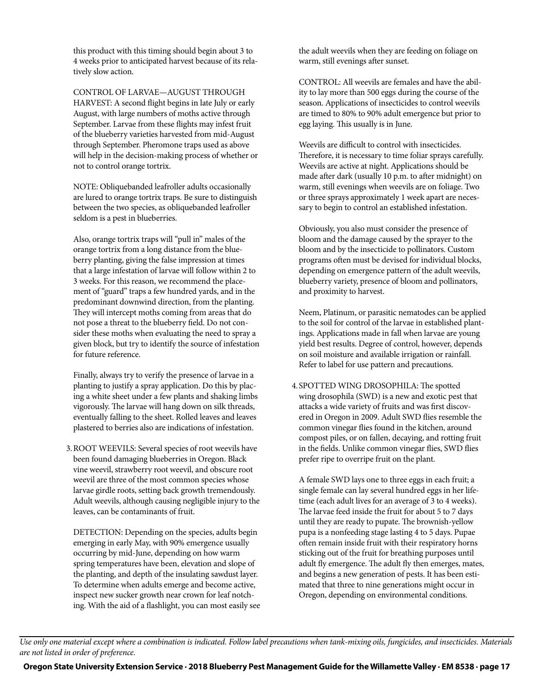this product with this timing should begin about 3 to 4 weeks prior to anticipated harvest because of its relatively slow action.

CONTROL OF LARVAE—AUGUST THROUGH HARVEST: A second flight begins in late July or early August, with large numbers of moths active through September. Larvae from these flights may infest fruit of the blueberry varieties harvested from mid-August through September. Pheromone traps used as above will help in the decision-making process of whether or not to control orange tortrix.

NOTE: Obliquebanded leafroller adults occasionally are lured to orange tortrix traps. Be sure to distinguish between the two species, as obliquebanded leafroller seldom is a pest in blueberries.

Also, orange tortrix traps will "pull in" males of the orange tortrix from a long distance from the blueberry planting, giving the false impression at times that a large infestation of larvae will follow within 2 to 3 weeks. For this reason, we recommend the placement of "guard" traps a few hundred yards, and in the predominant downwind direction, from the planting. They will intercept moths coming from areas that do not pose a threat to the blueberry field. Do not consider these moths when evaluating the need to spray a given block, but try to identify the source of infestation for future reference.

Finally, always try to verify the presence of larvae in a planting to justify a spray application. Do this by placing a white sheet under a few plants and shaking limbs vigorously. The larvae will hang down on silk threads, eventually falling to the sheet. Rolled leaves and leaves plastered to berries also are indications of infestation.

3.ROOT WEEVILS: Several species of root weevils have been found damaging blueberries in Oregon. Black vine weevil, strawberry root weevil, and obscure root weevil are three of the most common species whose larvae girdle roots, setting back growth tremendously. Adult weevils, although causing negligible injury to the leaves, can be contaminants of fruit.

DETECTION: Depending on the species, adults begin emerging in early May, with 90% emergence usually occurring by mid-June, depending on how warm spring temperatures have been, elevation and slope of the planting, and depth of the insulating sawdust layer. To determine when adults emerge and become active, inspect new sucker growth near crown for leaf notching. With the aid of a flashlight, you can most easily see the adult weevils when they are feeding on foliage on warm, still evenings after sunset.

CONTROL: All weevils are females and have the ability to lay more than 500 eggs during the course of the season. Applications of insecticides to control weevils are timed to 80% to 90% adult emergence but prior to egg laying. This usually is in June.

Weevils are difficult to control with insecticides. Therefore, it is necessary to time foliar sprays carefully. Weevils are active at night. Applications should be made after dark (usually 10 p.m. to after midnight) on warm, still evenings when weevils are on foliage. Two or three sprays approximately 1 week apart are necessary to begin to control an established infestation.

Obviously, you also must consider the presence of bloom and the damage caused by the sprayer to the bloom and by the insecticide to pollinators. Custom programs often must be devised for individual blocks, depending on emergence pattern of the adult weevils, blueberry variety, presence of bloom and pollinators, and proximity to harvest.

Neem, Platinum, or parasitic nematodes can be applied to the soil for control of the larvae in established plantings. Applications made in fall when larvae are young yield best results. Degree of control, however, depends on soil moisture and available irrigation or rainfall. Refer to label for use pattern and precautions.

4.SPOTTED WING DROSOPHILA: The spotted wing drosophila (SWD) is a new and exotic pest that attacks a wide variety of fruits and was first discovered in Oregon in 2009. Adult SWD flies resemble the common vinegar flies found in the kitchen, around compost piles, or on fallen, decaying, and rotting fruit in the fields. Unlike common vinegar flies, SWD flies prefer ripe to overripe fruit on the plant.

A female SWD lays one to three eggs in each fruit; a single female can lay several hundred eggs in her lifetime (each adult lives for an average of 3 to 4 weeks). The larvae feed inside the fruit for about 5 to 7 days until they are ready to pupate. The brownish-yellow pupa is a nonfeeding stage lasting 4 to 5 days. Pupae often remain inside fruit with their respiratory horns sticking out of the fruit for breathing purposes until adult fly emergence. The adult fly then emerges, mates, and begins a new generation of pests. It has been estimated that three to nine generations might occur in Oregon, depending on environmental conditions.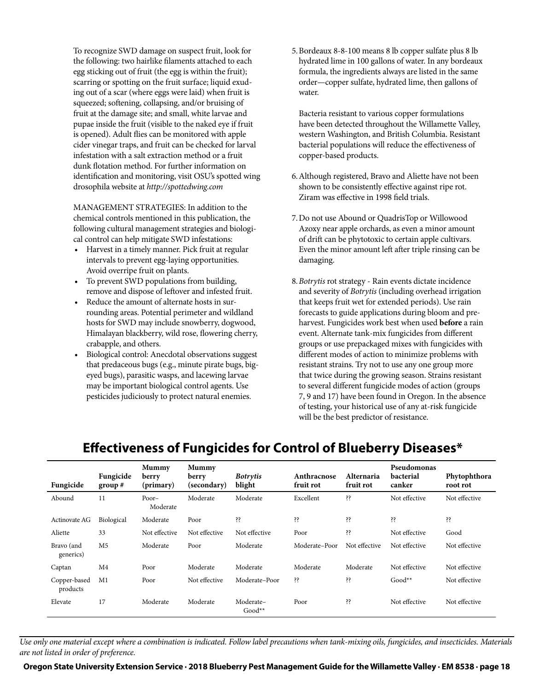To recognize SWD damage on suspect fruit, look for the following: two hairlike filaments attached to each egg sticking out of fruit (the egg is within the fruit); scarring or spotting on the fruit surface; liquid exuding out of a scar (where eggs were laid) when fruit is squeezed; softening, collapsing, and/or bruising of fruit at the damage site; and small, white larvae and pupae inside the fruit (visible to the naked eye if fruit is opened). Adult flies can be monitored with apple cider vinegar traps, and fruit can be checked for larval infestation with a salt extraction method or a fruit dunk flotation method. For further information on identification and monitoring, visit OSU's spotted wing drosophila website at *<http://spottedwing.com>*

MANAGEMENT STRATEGIES: In addition to the chemical controls mentioned in this publication, the following cultural management strategies and biological control can help mitigate SWD infestations:

- Harvest in a timely manner. Pick fruit at regular intervals to prevent egg-laying opportunities. Avoid overripe fruit on plants.
- To prevent SWD populations from building, remove and dispose of leftover and infested fruit.
- Reduce the amount of alternate hosts in surrounding areas. Potential perimeter and wildland hosts for SWD may include snowberry, dogwood, Himalayan blackberry, wild rose, flowering cherry, crabapple, and others.
- Biological control: Anecdotal observations suggest that predaceous bugs (e.g., minute pirate bugs, bigeyed bugs), parasitic wasps, and lacewing larvae may be important biological control agents. Use pesticides judiciously to protect natural enemies.

5.Bordeaux 8-8-100 means 8 lb copper sulfate plus 8 lb hydrated lime in 100 gallons of water. In any bordeaux formula, the ingredients always are listed in the same order—copper sulfate, hydrated lime, then gallons of water.

Bacteria resistant to various copper formulations have been detected throughout the Willamette Valley, western Washington, and British Columbia. Resistant bacterial populations will reduce the effectiveness of copper-based products.

- 6.Although registered, Bravo and Aliette have not been shown to be consistently effective against ripe rot. Ziram was effective in 1998 field trials.
- 7.Do not use Abound or QuadrisTop or Willowood Azoxy near apple orchards, as even a minor amount of drift can be phytotoxic to certain apple cultivars. Even the minor amount left after triple rinsing can be damaging.
- 8.*Botrytis* rot strategy Rain events dictate incidence and severity of *Botrytis* (including overhead irrigation that keeps fruit wet for extended periods). Use rain forecasts to guide applications during bloom and preharvest. Fungicides work best when used **before** a rain event. Alternate tank-mix fungicides from different groups or use prepackaged mixes with fungicides with different modes of action to minimize problems with resistant strains. Try not to use any one group more that twice during the growing season. Strains resistant to several different fungicide modes of action (groups 7, 9 and 17) have been found in Oregon. In the absence of testing, your historical use of any at-risk fungicide will be the best predictor of resistance.

| Fungicide                | Fungicide<br>group $#$ | Mummy<br>berry<br>(primary) | Mummy<br>berry<br>(secondary) | <b>Botrytis</b><br>blight | Anthracnose<br>fruit rot | Alternaria<br>fruit rot | Pseudomonas<br><b>bacterial</b><br>canker | Phytophthora<br>root rot |
|--------------------------|------------------------|-----------------------------|-------------------------------|---------------------------|--------------------------|-------------------------|-------------------------------------------|--------------------------|
| Abound                   | 11                     | $Poor-$<br>Moderate         | Moderate                      | Moderate                  | Excellent                | śś.                     | Not effective                             | Not effective            |
| Actinovate AG            | Biological             | Moderate                    | Poor                          | śś.                       | śś.                      | śś.                     | šš.                                       | śś.                      |
| Aliette                  | 33                     | Not effective               | Not effective                 | Not effective             | Poor                     | śś                      | Not effective                             | Good                     |
| Bravo (and<br>generics)  | M <sub>5</sub>         | Moderate                    | Poor                          | Moderate                  | Moderate-Poor            | Not effective           | Not effective                             | Not effective            |
| Captan                   | M4                     | Poor                        | Moderate                      | Moderate                  | Moderate                 | Moderate                | Not effective                             | Not effective            |
| Copper-based<br>products | M1                     | Poor                        | Not effective                 | Moderate-Poor             | śś.                      | śś.                     | $Good**$                                  | Not effective            |
| Elevate                  | 17                     | Moderate                    | Moderate                      | Moderate-<br>$Good**$     | Poor                     | śś.                     | Not effective                             | Not effective            |

## **Effectiveness of Fungicides for Control of Blueberry Diseases\***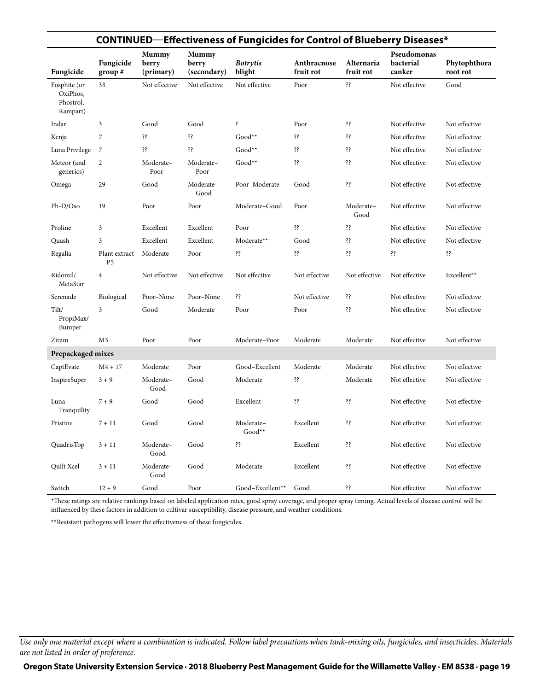|                                                   |                                 |                                    |                                      | <b>CONTINUED—Effectiveness of Fungicides for Control of Blueberry Diseases*</b> |                          |                         |                                    |                          |
|---------------------------------------------------|---------------------------------|------------------------------------|--------------------------------------|---------------------------------------------------------------------------------|--------------------------|-------------------------|------------------------------------|--------------------------|
| Fungicide                                         | Fungicide<br>group#             | <b>Mummy</b><br>berry<br>(primary) | <b>Mummy</b><br>berry<br>(secondary) | <b>Botrytis</b><br>blight                                                       | Anthracnose<br>fruit rot | Alternaria<br>fruit rot | Pseudomonas<br>bacterial<br>canker | Phytophthora<br>root rot |
| Fosphite (or<br>OxiPhos,<br>Phostrol,<br>Rampart) | 33                              | Not effective                      | Not effective                        | Not effective                                                                   | Poor                     | śś.                     | Not effective                      | Good                     |
| Indar                                             | 3                               | Good                               | Good                                 | Ş                                                                               | Poor                     | śś.                     | Not effective                      | Not effective            |
| Kenja                                             | 7                               | śś.                                | śś.                                  | $Good**$                                                                        | śś.                      | śś.                     | Not effective                      | Not effective            |
| Luna Privilege                                    | 7                               | śś.                                | śś.                                  | $Good**$                                                                        | śś.                      | śξ                      | Not effective                      | Not effective            |
| Meteor (and<br>generics)                          | $\overline{c}$                  | Moderate-<br>Poor                  | Moderate-<br>Poor                    | $Good**$                                                                        | śś.                      | śξ                      | Not effective                      | Not effective            |
| Omega                                             | 29                              | Good                               | Moderate-<br>Good                    | Poor-Moderate                                                                   | Good                     | śś.                     | Not effective                      | Not effective            |
| $Ph-D/O$ so                                       | 19                              | Poor                               | Poor                                 | Moderate-Good                                                                   | Poor                     | Moderate-<br>Good       | Not effective                      | Not effective            |
| Proline                                           | 3                               | Excellent                          | Excellent                            | Poor                                                                            | śś.                      | śś.                     | Not effective                      | Not effective            |
| Quash                                             | 3                               | Excellent                          | Excellent                            | Moderate**                                                                      | Good                     | śś.                     | Not effective                      | Not effective            |
| Regalia                                           | Plant extract<br>P <sub>5</sub> | Moderate                           | Poor                                 | śś.                                                                             | śś.                      | śś.                     | śś.                                | śś.                      |
| Ridomil/<br>MetaStar                              | $\overline{4}$                  | Not effective                      | Not effective                        | Not effective                                                                   | Not effective            | Not effective           | Not effective                      | Excellent**              |
| Serenade                                          | Biological                      | Poor-None                          | Poor-None                            | śś.                                                                             | Not effective            | śś.                     | Not effective                      | Not effective            |
| Tilt/<br>PropiMax/<br>Bumper                      | 3                               | Good                               | Moderate                             | Poor                                                                            | Poor                     | śξ                      | Not effective                      | Not effective            |
| Ziram                                             | M3                              | Poor                               | Poor                                 | Moderate-Poor                                                                   | Moderate                 | Moderate                | Not effective                      | Not effective            |
| Prepackaged mixes                                 |                                 |                                    |                                      |                                                                                 |                          |                         |                                    |                          |
| CaptEvate                                         | $M4 + 17$                       | Moderate                           | Poor                                 | Good-Excellent                                                                  | Moderate                 | Moderate                | Not effective                      | Not effective            |
| InspireSuper                                      | $3 + 9$                         | Moderate-<br>Good                  | Good                                 | Moderate                                                                        | śś.                      | Moderate                | Not effective                      | Not effective            |
| Luna<br>Tranquility                               | $7 + 9$                         | Good                               | Good                                 | Excellent                                                                       | śś.                      | śś.                     | Not effective                      | Not effective            |
| Pristine                                          | $7 + 11$                        | Good                               | Good                                 | Moderate-<br>Good**                                                             | Excellent                | śś.                     | Not effective                      | Not effective            |
| QuadrisTop                                        | $3 + 11$                        | Moderate-<br>Good                  | Good                                 | ż۶.                                                                             | Excellent                | śś.                     | Not effective                      | Not effective            |
| <b>Ouilt Xcel</b>                                 | $3 + 11$                        | Moderate-<br>Good                  | Good                                 | Moderate                                                                        | Excellent                | śś.                     | Not effective                      | Not effective            |
| Switch                                            | $12 + 9$                        | Good                               | Poor                                 | Good-Excellent**                                                                | Good                     | šš.                     | Not effective                      | Not effective            |

\*These ratings are relative rankings based on labeled application rates, good spray coverage, and proper spray timing. Actual levels of disease control will be influenced by these factors in addition to cultivar susceptibility, disease pressure, and weather conditions.

\*\*Resistant pathogens will lower the effectiveness of these fungicides.

*Use only one material except where a combination is indicated. Follow label precautions when tank-mixing oils, fungicides, and insecticides. Materials are not listed in order of preference.*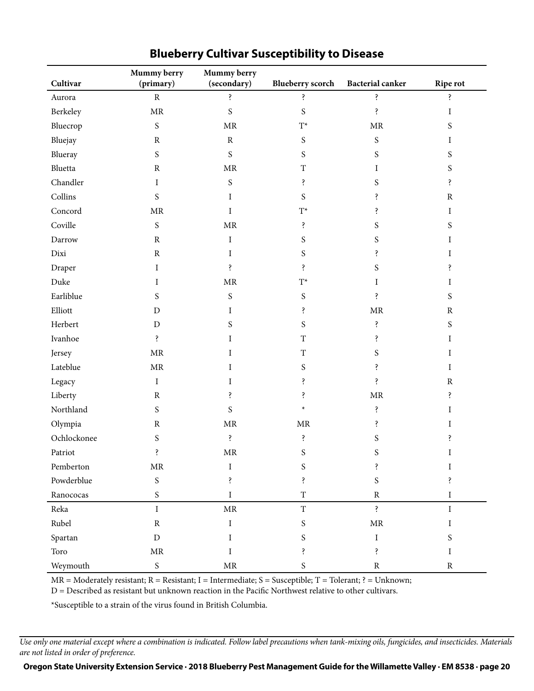| Cultivar    | Mummy berry<br>(primary)          | Mummy berry<br>(secondary) | <b>Blueberry scorch</b> | <b>Bacterial canker</b> | <b>Ripe rot</b> |
|-------------|-----------------------------------|----------------------------|-------------------------|-------------------------|-----------------|
| Aurora      | $\mathbf R$                       | Ś.                         | ś.                      | ś.                      | ś.              |
| Berkeley    | $\operatorname{MR}$               | $\mathbf S$                | $\mathbf S$             | ś.                      | I               |
| Bluecrop    | ${\mathsf S}$                     | $\operatorname{MR}$        | $\mathcal{T}^{\star}$   | $\operatorname{MR}$     | S               |
| Bluejay     | ${\bf R}$                         | $\rm R$                    | ${\mathsf S}$           | ${\mathsf S}$           | Ι               |
| Blueray     | S                                 | S                          | $\boldsymbol{S}$        | S                       | S               |
| Bluetta     | $\mathbb R$                       | $\operatorname{MR}$        | $\rm T$                 | I                       | S               |
| Chandler    | Ι                                 | $\mathbf S$                | ś.                      | S                       | ś.              |
| Collins     | $\boldsymbol{S}$                  | Ι                          | S                       | ś.                      | ${\bf R}$       |
| Concord     | $\ensuremath{\mathsf{MR}}\xspace$ | Ι                          | $\mathbf{T}^{\star}$    | S                       | I               |
| Coville     | ${\mathsf S}$                     | $\operatorname{MR}$        | ś.                      | S                       | S               |
| Darrow      | ${\bf R}$                         | I                          | $\boldsymbol{S}$        | $\mathbf S$             | I               |
| Dixi        | ${\bf R}$                         | Ι                          | S                       | S                       | I               |
| Draper      | I                                 | Ŝ.                         | Ŝ.                      | S                       | ś               |
| Duke        | Ι                                 | $\operatorname{MR}$        | $\mathcal{T}^{\star}$   | Ι                       | Ι               |
| Earliblue   | S                                 | $\mathbf S$                | $\boldsymbol{S}$        | Ş                       | S               |
| Elliott     | D                                 | Ι                          | ś.                      | $\operatorname{MR}$     | ${\bf R}$       |
| Herbert     | $\mathbf D$                       | S                          | S                       | Ş                       | $\mathbf S$     |
| Ivanhoe     | Ş                                 | Ι                          | $\mathbf T$             | ś.                      | I               |
| Jersey      | MR                                | Ι                          | $\mathbf T$             | S                       | I               |
| Lateblue    | $\ensuremath{\mathsf{MR}}\xspace$ | Ι                          | S                       | ś.                      | Ι               |
| Legacy      | $\rm I$                           | Ι                          | Ş                       | ś                       | ${\bf R}$       |
| Liberty     | ${\bf R}$                         | ś.                         | Ş                       | $\operatorname{MR}$     | Ŝ.              |
| Northland   | S                                 | S                          | $\ast$                  | Ş                       | I               |
| Olympia     | ${\bf R}$                         | $\operatorname{MR}$        | $\operatorname{MR}$     | Ş                       | I               |
| Ochlockonee | S                                 | ś.                         | ś.                      | S                       | Ş               |
| Patriot     | ś.                                | $\operatorname{MR}$        | S                       | S                       | I               |
| Pemberton   | $\ensuremath{\mathsf{MR}}\xspace$ | I                          | S                       | Ş                       | Ι               |
| Powderblue  | $\mathbf S$                       | Ś.                         | ś,                      | $\boldsymbol{S}$        | Ś.              |
| Ranococas   | $\mathbf S$                       | I                          | $\mathbf T$             | ${\bf R}$               | I               |
| Reka        | $\bf I$                           | $\operatorname{MR}$        | $\mathbf T$             | ś.                      | $\rm I$         |
| Rubel       | ${\bf R}$                         | $\rm I$                    | $\boldsymbol{S}$        | $\operatorname{MR}$     | I               |
| Spartan     | $\mathbf D$                       | Ι                          | S                       | $\bf I$                 | S               |
| Toro        | $\operatorname{MR}$               | Ι                          | Ś.                      | ś                       | Ι               |
| Weymouth    | ${\mathsf S}$                     | $\operatorname{MR}$        | $\mathbf S$             | ${\bf R}$               | ${\bf R}$       |

## **Blueberry Cultivar Susceptibility to Disease**

MR = Moderately resistant; R = Resistant; I = Intermediate; S = Susceptible; T = Tolerant; ? = Unknown;

D = Described as resistant but unknown reaction in the Pacific Northwest relative to other cultivars.

\*Susceptible to a strain of the virus found in British Columbia.

*Use only one material except where a combination is indicated. Follow label precautions when tank-mixing oils, fungicides, and insecticides. Materials are not listed in order of preference.*